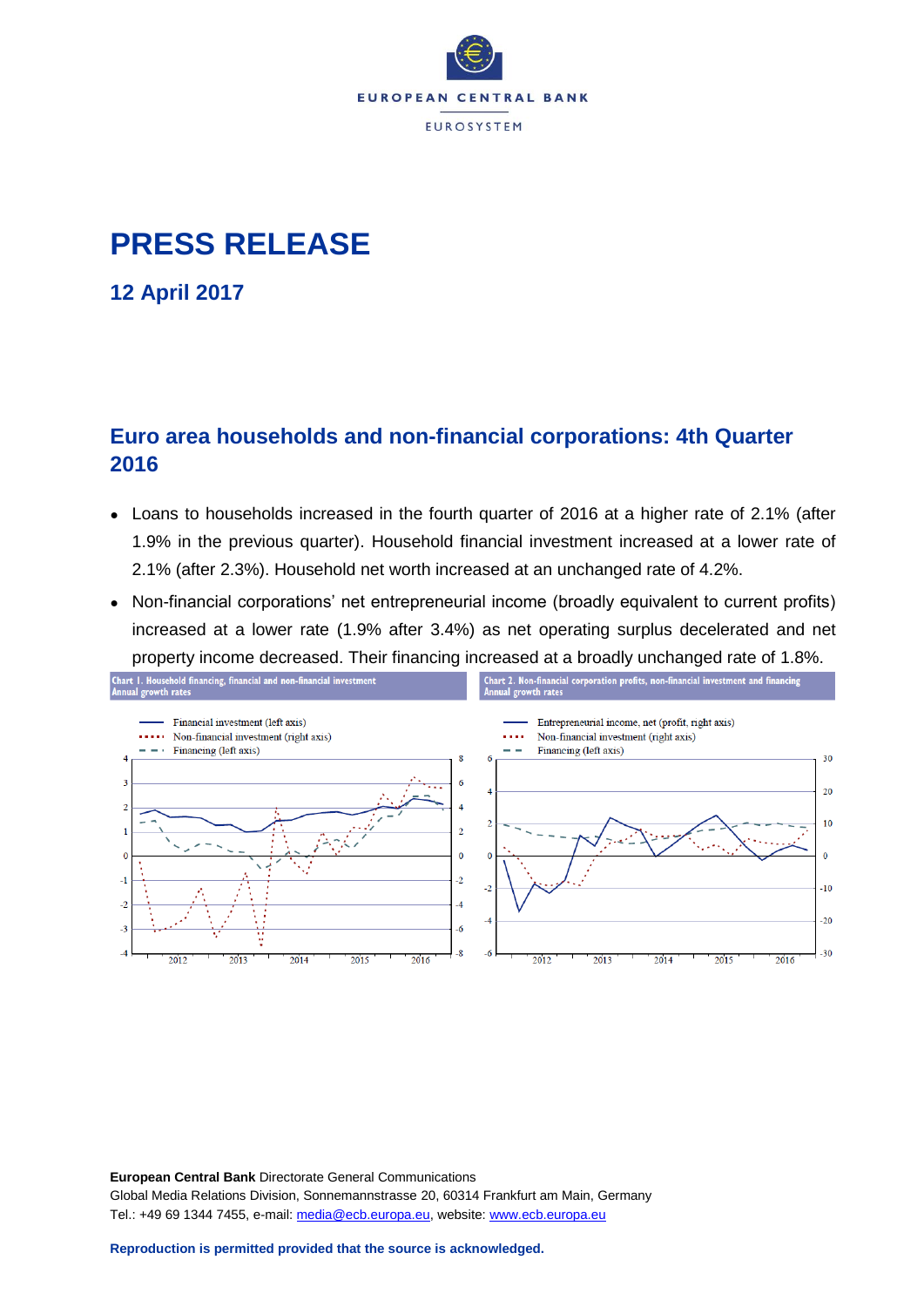

# **PRESS RELEASE**

**12 April 2017**

## **Euro area households and non-financial corporations: 4th Quarter 2016**

- Loans to households increased in the fourth quarter of 2016 at a higher rate of 2.1% (after 1.9% in the previous quarter). Household financial investment increased at a lower rate of 2.1% (after 2.3%). Household net worth increased at an unchanged rate of 4.2%.
- Non-financial corporations' net entrepreneurial income (broadly equivalent to current profits) increased at a lower rate (1.9% after 3.4%) as net operating surplus decelerated and net property income decreased. Their financing increased at a broadly unchanged rate of 1.8%.



**European Central Bank** Directorate General Communications Global Media Relations Division, Sonnemannstrasse 20, 60314 Frankfurt am Main, Germany Tel.: +49 69 1344 7455, e-mail: [media@ecb.europa.eu,](mailto:media@ecb.europa.eu) website[: www.ecb.europa.eu](http://www.ecb.europa.eu/)

**Reproduction is permitted provided that the source is acknowledged.**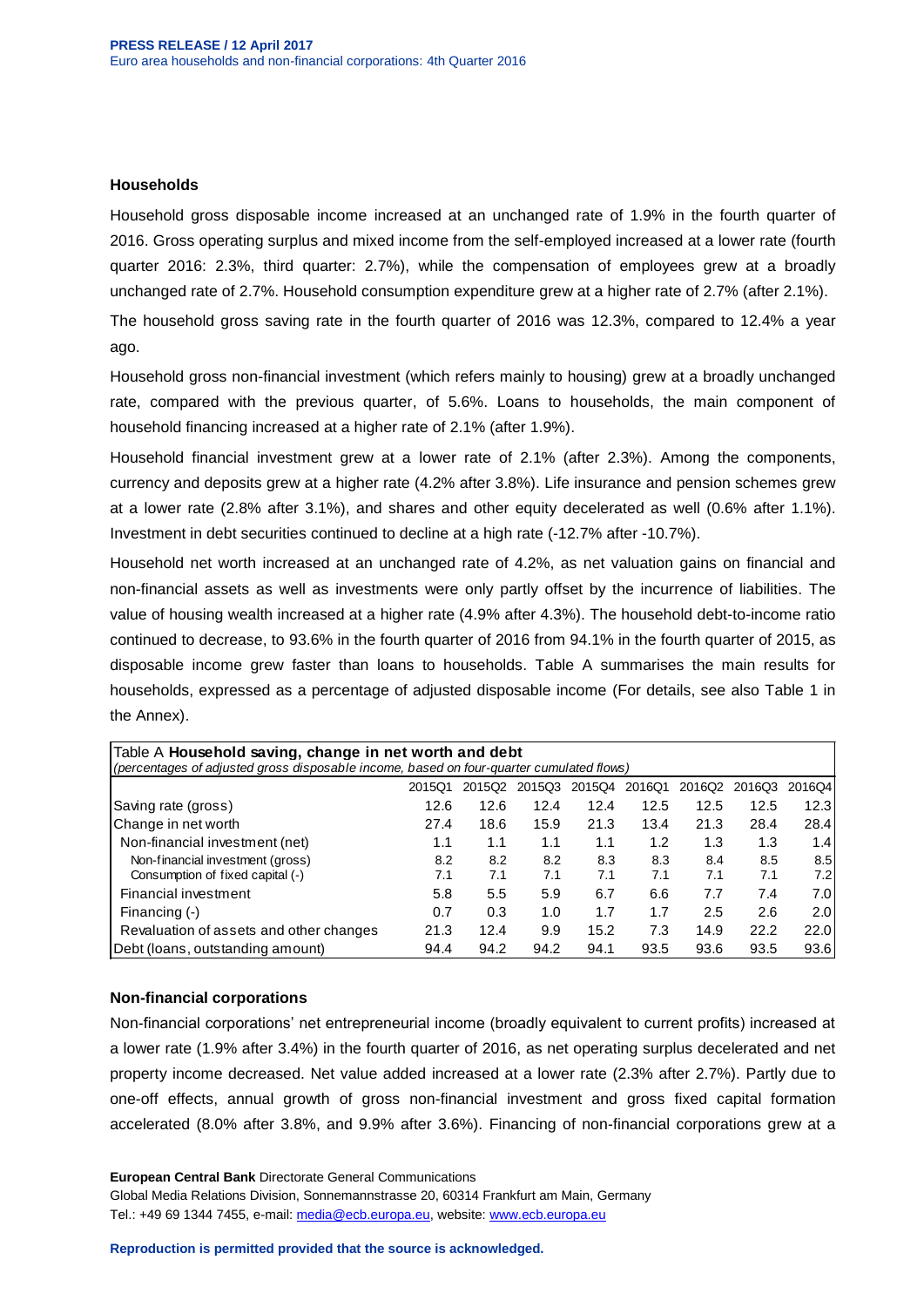### **Households**

Household gross disposable income increased at an unchanged rate of 1.9% in the fourth quarter of 2016. Gross operating surplus and mixed income from the self-employed increased at a lower rate (fourth quarter 2016: 2.3%, third quarter: 2.7%), while the compensation of employees grew at a broadly unchanged rate of 2.7%. Household consumption expenditure grew at a higher rate of 2.7% (after 2.1%).

The household gross saving rate in the fourth quarter of 2016 was 12.3%, compared to 12.4% a year ago.

Household gross non-financial investment (which refers mainly to housing) grew at a broadly unchanged rate, compared with the previous quarter, of 5.6%. Loans to households, the main component of household financing increased at a higher rate of 2.1% (after 1.9%).

Household financial investment grew at a lower rate of 2.1% (after 2.3%). Among the components, currency and deposits grew at a higher rate (4.2% after 3.8%). Life insurance and pension schemes grew at a lower rate (2.8% after 3.1%), and shares and other equity decelerated as well (0.6% after 1.1%). Investment in debt securities continued to decline at a high rate (-12.7% after -10.7%).

Household net worth increased at an unchanged rate of 4.2%, as net valuation gains on financial and non-financial assets as well as investments were only partly offset by the incurrence of liabilities. The value of housing wealth increased at a higher rate (4.9% after 4.3%). The household debt-to-income ratio continued to decrease, to 93.6% in the fourth quarter of 2016 from 94.1% in the fourth quarter of 2015, as disposable income grew faster than loans to households. Table A summarises the main results for households, expressed as a percentage of adjusted disposable income (For details, see also Table 1 in the Annex).

| Table A Household saving, change in net worth and debt<br>(percentages of adjusted gross disposable income, based on four-quarter cumulated flows) |        |        |        |        |        |        |        |        |  |  |  |  |
|----------------------------------------------------------------------------------------------------------------------------------------------------|--------|--------|--------|--------|--------|--------|--------|--------|--|--|--|--|
|                                                                                                                                                    | 2015Q1 | 2015Q2 | 2015Q3 | 2015Q4 | 2016Q1 | 2016Q2 | 2016Q3 | 2016Q4 |  |  |  |  |
| Saving rate (gross)                                                                                                                                | 12.6   | 12.6   | 12.4   | 12.4   | 12.5   | 12.5   | 12.5   | 12.3   |  |  |  |  |
| Change in net worth                                                                                                                                | 27.4   | 18.6   | 15.9   | 21.3   | 13.4   | 21.3   | 28.4   | 28.4   |  |  |  |  |
| Non-financial investment (net)                                                                                                                     | 1.1    | 1.1    | 1.1    | 1.1    | 1.2    | 1.3    | 1.3    | 1.41   |  |  |  |  |
| Non-financial investment (gross)                                                                                                                   | 8.2    | 8.2    | 8.2    | 8.3    | 8.3    | 8.4    | 8.5    | 8.5    |  |  |  |  |
| Consumption of fixed capital (-)                                                                                                                   | 7.1    | 7.1    | 7.1    | 7.1    | 7.1    | 7.1    | 7.1    | 7.21   |  |  |  |  |
| Financial investment                                                                                                                               | 5.8    | 5.5    | 5.9    | 6.7    | 6.6    | 7.7    | 7.4    | 7.0I   |  |  |  |  |
| Financing (-)                                                                                                                                      | 0.7    | 0.3    | 1.0    | 1.7    | 1.7    | 2.5    | 2.6    | 2.0    |  |  |  |  |
| Revaluation of assets and other changes                                                                                                            | 21.3   | 12.4   | 9.9    | 15.2   | 7.3    | 14.9   | 22.2   | 22.0   |  |  |  |  |
| Debt (Ioans, outstanding amount)                                                                                                                   | 94.4   | 94.2   | 94.2   | 94.1   | 93.5   | 93.6   | 93.5   | 93.6   |  |  |  |  |

### **Non-financial corporations**

Non-financial corporations' net entrepreneurial income (broadly equivalent to current profits) increased at a lower rate (1.9% after 3.4%) in the fourth quarter of 2016, as net operating surplus decelerated and net property income decreased. Net value added increased at a lower rate (2.3% after 2.7%). Partly due to one-off effects, annual growth of gross non-financial investment and gross fixed capital formation accelerated (8.0% after 3.8%, and 9.9% after 3.6%). Financing of non-financial corporations grew at a

**European Central Bank** Directorate General Communications Global Media Relations Division, Sonnemannstrasse 20, 60314 Frankfurt am Main, Germany Tel.: +49 69 1344 7455, e-mail: [media@ecb.europa.eu,](mailto:media@ecb.europa.eu) website[: www.ecb.europa.eu](http://www.ecb.europa.eu/)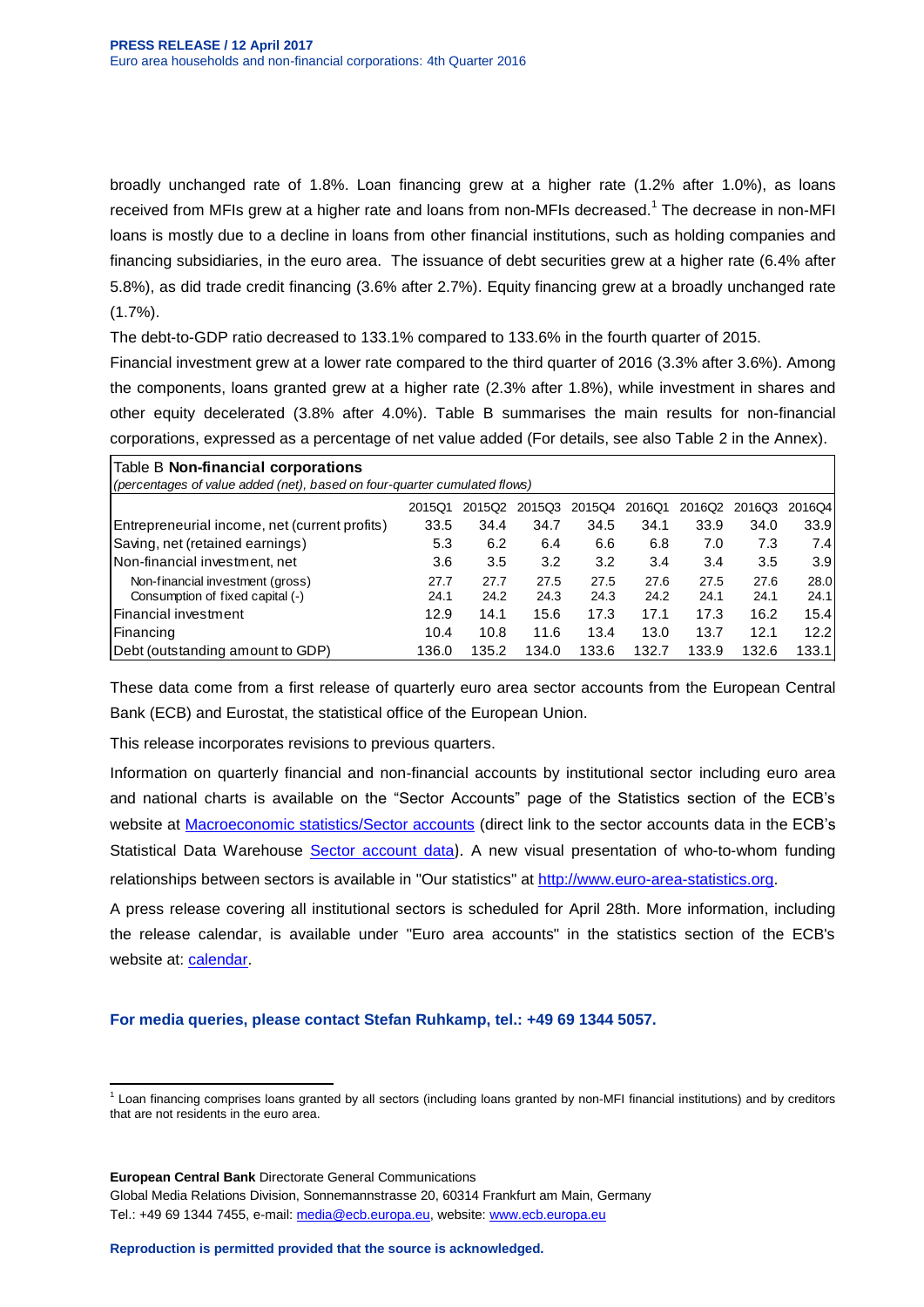broadly unchanged rate of 1.8%. Loan financing grew at a higher rate (1.2% after 1.0%), as loans received from MFIs grew at a higher rate and loans from non-MFIs decreased.<sup>1</sup> The decrease in non-MFI loans is mostly due to a decline in loans from other financial institutions, such as holding companies and financing subsidiaries, in the euro area. The issuance of debt securities grew at a higher rate (6.4% after 5.8%), as did trade credit financing (3.6% after 2.7%). Equity financing grew at a broadly unchanged rate  $(1.7\%)$ .

The debt-to-GDP ratio decreased to 133.1% compared to 133.6% in the fourth quarter of 2015.

Financial investment grew at a lower rate compared to the third quarter of 2016 (3.3% after 3.6%). Among the components, loans granted grew at a higher rate (2.3% after 1.8%), while investment in shares and other equity decelerated (3.8% after 4.0%). Table B summarises the main results for non-financial corporations, expressed as a percentage of net value added (For details, see also Table 2 in the Annex).

| Table B Non-financial corporations                                           |       |       |       |       |       |       |       |       |  |  |  |  |  |
|------------------------------------------------------------------------------|-------|-------|-------|-------|-------|-------|-------|-------|--|--|--|--|--|
| (percentages of value added (net), based on four-quarter cumulated flows)    |       |       |       |       |       |       |       |       |  |  |  |  |  |
| 2015Q4<br>2016Q4<br>2015Q1<br>201503<br>2016Q1<br>2016Q2<br>2015Q2<br>2016Q3 |       |       |       |       |       |       |       |       |  |  |  |  |  |
| Entrepreneurial income, net (current profits)                                | 33.5  | 34.4  | 34.7  | 34.5  | 34.1  | 33.9  | 34.0  | 33.9  |  |  |  |  |  |
| Saving, net (retained earnings)                                              | 5.3   | 6.2   | 6.4   | 6.6   | 6.8   | 7.0   | 7.3   | 7.4   |  |  |  |  |  |
| Non-financial investment, net                                                | 3.6   | 3.5   | 3.2   | 3.2   | 3.4   | 3.4   | 3.5   | 3.9   |  |  |  |  |  |
| Non-financial investment (gross)                                             | 27.7  | 27.7  | 27.5  | 27.5  | 27.6  | 27.5  | 27.6  | 28.0  |  |  |  |  |  |
| Consumption of fixed capital (-)                                             | 24.1  | 24.2  | 24.3  | 24.3  | 24.2  | 24.1  | 24.1  | 24.1  |  |  |  |  |  |
| lFinancial investment                                                        | 12.9  | 14.1  | 15.6  | 17.3  | 17.1  | 17.3  | 16.2  | 15.4  |  |  |  |  |  |
| Financing                                                                    | 10.4  | 10.8  | 11.6  | 13.4  | 13.0  | 13.7  | 12.1  | 12.2  |  |  |  |  |  |
| (Debt (outstanding amount to GDP)                                            | 136.0 | 135.2 | 134.0 | 133.6 | 132.7 | 133.9 | 132.6 | 133.1 |  |  |  |  |  |

These data come from a first release of quarterly euro area sector accounts from the European Central Bank (ECB) and Eurostat, the statistical office of the European Union.

This release incorporates revisions to previous quarters.

Information on quarterly financial and non-financial accounts by institutional sector including euro area and national charts is available on the "Sector Accounts" page of the Statistics section of the ECB's website at **Macroeconomic [statistics/Sector accounts](http://www.ecb.europa.eu/stats/acc/html/index.en.html)** (direct link to the sector accounts data in the ECB's Statistical Data Warehouse **[Sector account data](http://sdw.ecb.europa.eu/browse.do?node=9691132)**). A new visual presentation of who-to-whom funding relationships between sectors is available in "Our statistics" at [http://www.euro-area-statistics.org.](http://www.euro-area-statistics.org/)

A press release covering all institutional sectors is scheduled for April 28th. More information, including the release calendar, is available under "Euro area accounts" in the statistics section of the ECB's website at: [calendar.](http://www.ecb.europa.eu/press/calendars/statscal/eaa/html/index.en.html)

**For media queries, please contact Stefan Ruhkamp, tel.: +49 69 1344 5057.**

 1 Loan financing comprises loans granted by all sectors (including loans granted by non-MFI financial institutions) and by creditors that are not residents in the euro area.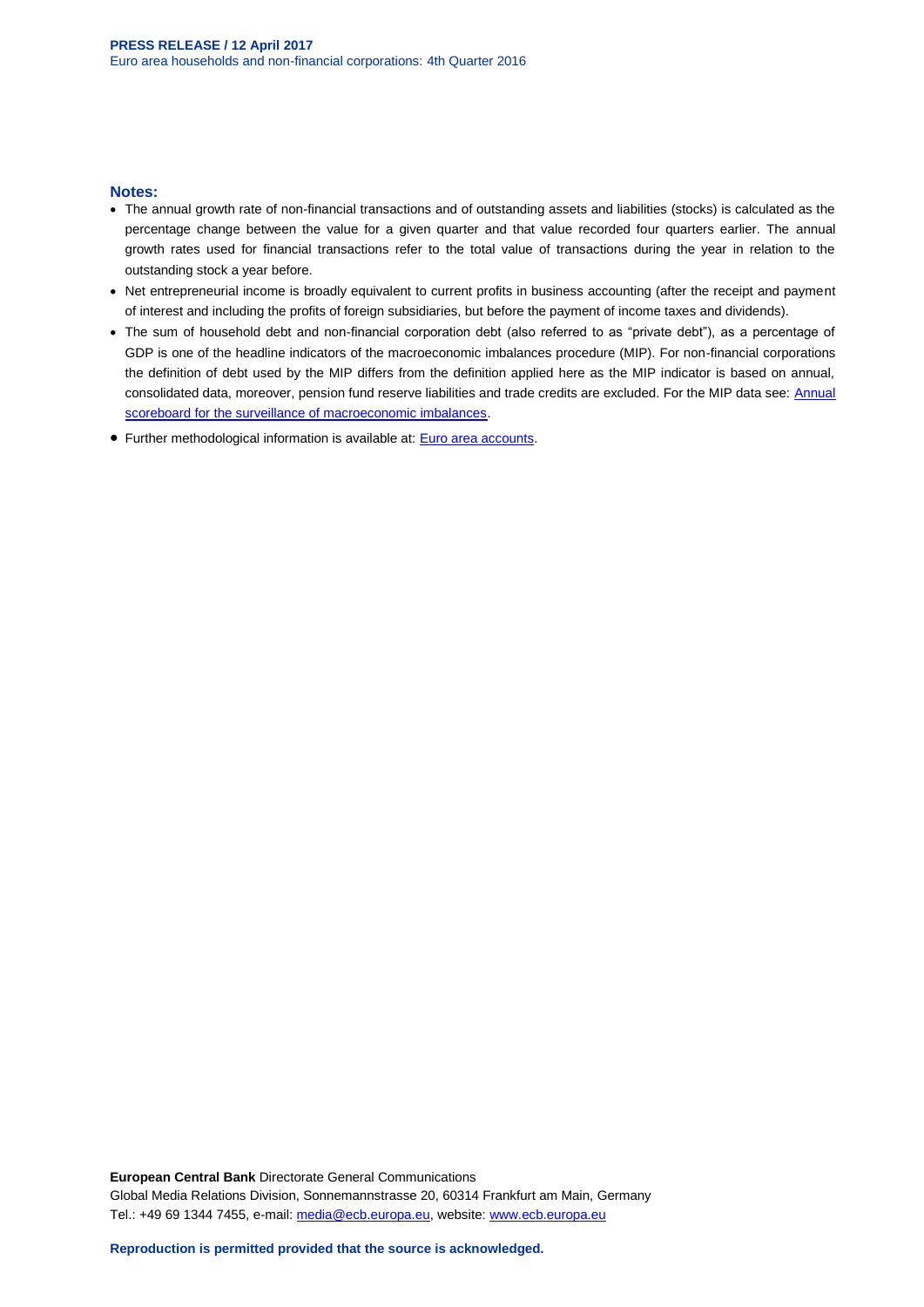### **Notes:**

- The annual growth rate of non-financial transactions and of outstanding assets and liabilities (stocks) is calculated as the percentage change between the value for a given quarter and that value recorded four quarters earlier. The annual growth rates used for financial transactions refer to the total value of transactions during the year in relation to the outstanding stock a year before.
- Net entrepreneurial income is broadly equivalent to current profits in business accounting (after the receipt and payment of interest and including the profits of foreign subsidiaries, but before the payment of income taxes and dividends).
- The sum of household debt and non-financial corporation debt (also referred to as "private debt"), as a percentage of GDP is one of the headline indicators of the macroeconomic imbalances procedure (MIP). For non-financial corporations the definition of debt used by the MIP differs from the definition applied here as the MIP indicator is based on annual, consolidated data, moreover, pension fund reserve liabilities and trade credits are excluded. For the MIP data see: [Annual](http://sdw.ecb.europa.eu/reports.do?node=1000004048)  [scoreboard for the surveillance of macroeconomic imbalances.](http://sdw.ecb.europa.eu/reports.do?node=1000004048)
- Further methodological information is available at: [Euro area accounts.](http://www.ecb.europa.eu/stats/acc/html/index.en.html)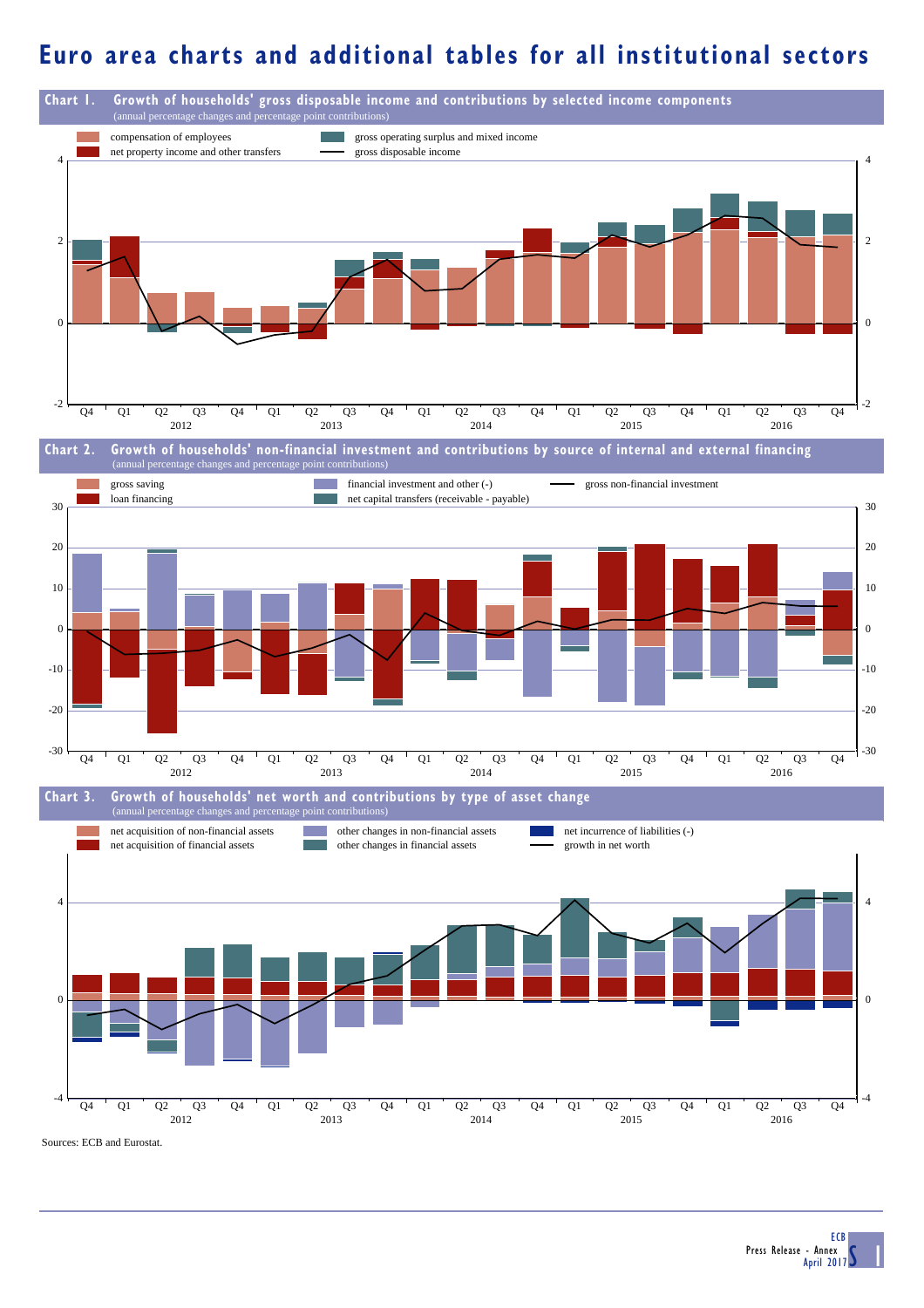## **Euro area charts and additional tables for all institutional sectors**

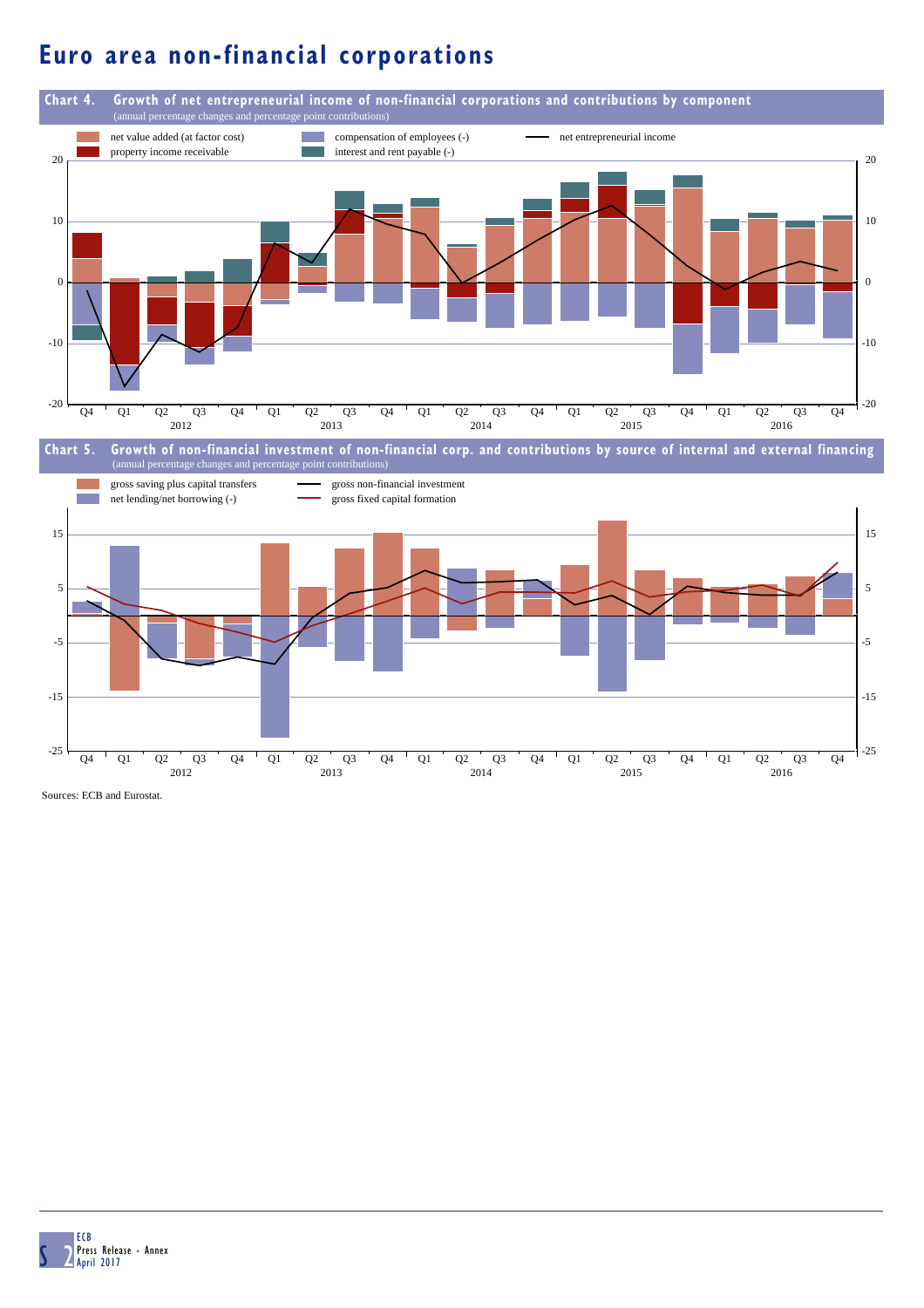# **Euro area non-financial corporations**



Sources: ECB and Eurostat.

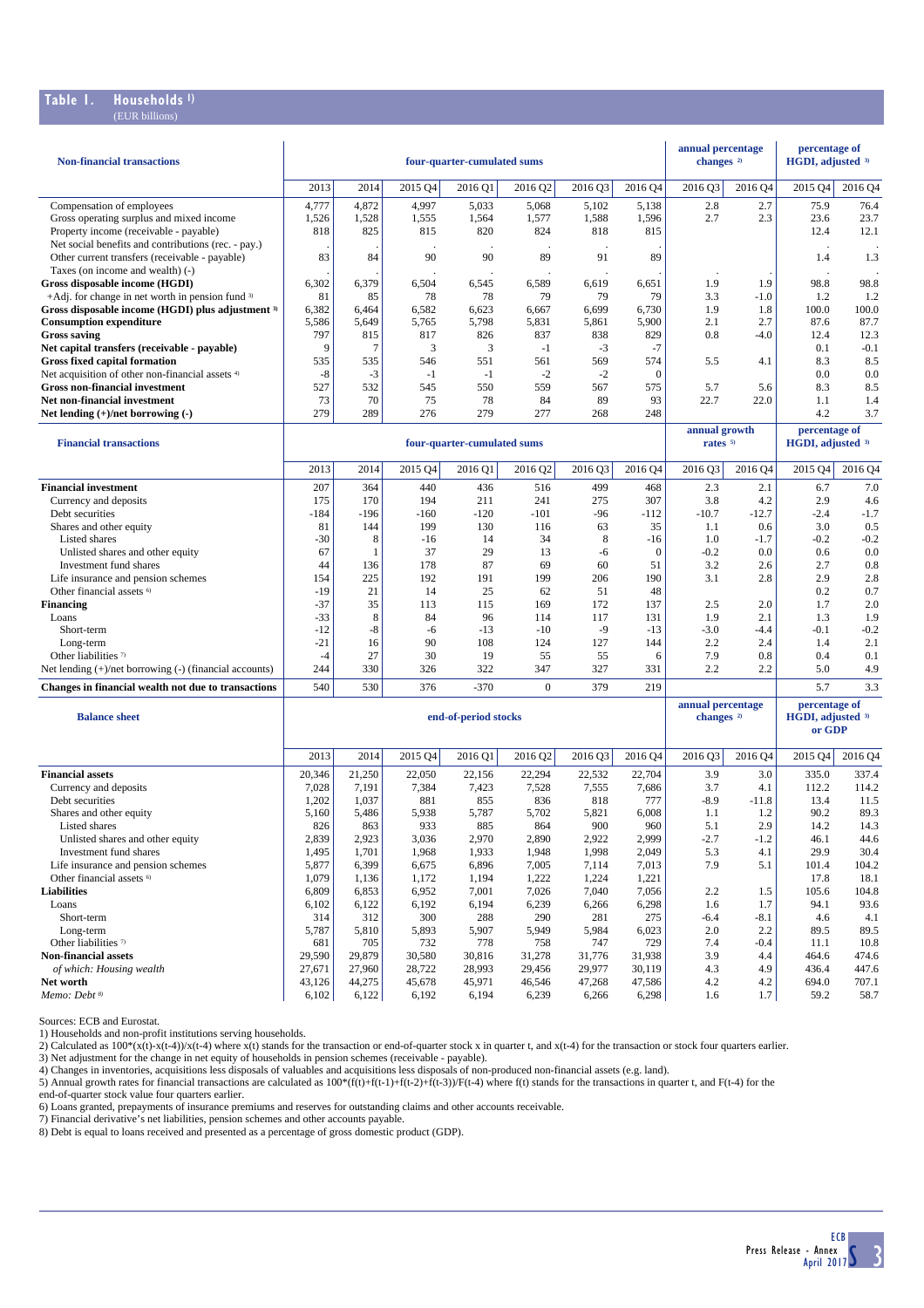### **Table 1. Households 1)** (EUR billions)

| 2013<br>2016 Q3<br>2015 Q4<br>2016 Q4<br>2014<br>2015 Q4<br>2016 Q1<br>2016 Q2<br>2016 Q3<br>2016 Q4<br>2016 Q4<br>Compensation of employees<br>4,777<br>4,872<br>5,033<br>5,068<br>5,102<br>5,138<br>2.8<br>2.7<br>75.9<br>76.4<br>4,997<br>Gross operating surplus and mixed income<br>1,528<br>1,555<br>1,564<br>1,577<br>1,588<br>1,596<br>2.7<br>2.3<br>23.6<br>23.7<br>1,526<br>Property income (receivable - payable)<br>825<br>815<br>820<br>824<br>818<br>815<br>12.4<br>12.1<br>818<br>Net social benefits and contributions (rec. - pay.)<br>83<br>89<br>84<br>90<br>90<br>89<br>91<br>1.4<br>1.3<br>Other current transfers (receivable - payable)<br>Taxes (on income and wealth) (-)<br>6,302<br>6,379<br>6,504<br>6,619<br>6,651<br>1.9<br>1.9<br>98.8<br>98.8<br>Gross disposable income (HGDI)<br>6,545<br>6,589<br>+Adj. for change in net worth in pension fund $3$<br>81<br>85<br>79<br>79<br>3.3<br>1.2<br>1.2<br>78<br>78<br>79<br>$-1.0$<br>100.0<br>6,382<br>6,582<br>6,730<br>1.9<br>100.0<br>6,464<br>6,623<br>6,667<br>6,699<br>1.8<br>5,798<br>2.1<br>2.7<br>87.7<br>5,586<br>5,649<br>5,765<br>5,831<br>5,861<br>5,900<br>87.6<br>797<br>838<br>829<br>0.8<br>12.4<br>815<br>817<br>826<br>837<br>-4.0<br>12.3<br>Net capital transfers (receivable - payable)<br>9<br>7<br>3<br>3<br>$-3$<br>$-7$<br>0.1<br>$-0.1$<br>$-1$<br><b>Gross fixed capital formation</b><br>561<br>569<br>574<br>8.3<br>8.5<br>535<br>535<br>546<br>551<br>5.5<br>4.1<br>Net acquisition of other non-financial assets <sup>4)</sup><br>$-8$<br>$-3$<br>$-1$<br>$-1$<br>$-2$<br>$-2$<br>$\mathbf{0}$<br>0.0<br>0.0<br><b>Gross non-financial investment</b><br>527<br>550<br>559<br>567<br>8.3<br>8.5<br>532<br>545<br>575<br>5.7<br>5.6<br>93<br>73<br>70<br>75<br>78<br>84<br>89<br>22.7<br>22.0<br>1.1<br>Net non-financial investment<br>1.4<br>279<br>289<br>276<br>279<br>277<br>248<br>4.2<br>3.7<br>Net lending $(+)/$ net borrowing $(-)$<br>268<br>annual growth<br>percentage of<br>HGDI, adjusted 3)<br><b>Financial transactions</b><br>four-quarter-cumulated sums<br>rates <sup>5)</sup><br>2013<br>2016 Q4<br>2015 Q4<br>2014<br>2015 Q4<br>2016 Q1<br>2016 Q2<br>2016 Q3<br>2016 Q3<br>2016 Q4<br>2016 Q4<br>2.3<br>6.7<br>207<br>364<br>440<br>436<br>516<br>499<br>468<br>2.1<br>7.0<br>307<br>175<br>170<br>194<br>211<br>241<br>275<br>3.8<br>4.2<br>2.9<br>4.6<br>Currency and deposits<br>$-184$<br>$-196$<br>$-120$<br>$-96$<br>$-112$<br>$-10.7$<br>$-2.4$<br>$-1.7$<br>Debt securities<br>$-160$<br>-101<br>$-12.7$<br>81<br>199<br>130<br>35<br>1.1<br>3.0<br>0.5<br>Shares and other equity<br>144<br>116<br>63<br>0.6<br>$-30$<br>34<br>8<br>$-0.2$<br>$-0.2$<br>Listed shares<br>8<br>$-16$<br>14<br>$-16$<br>1.0<br>$-1.7$<br>67<br>37<br>29<br>13<br>$\mathbf{0}$<br>$-0.2$<br>0.0<br>0.6<br>0.0<br>Unlisted shares and other equity<br>1<br>-6<br>44<br>178<br>87<br>69<br>60<br>51<br>3.2<br>2.7<br>0.8<br>Investment fund shares<br>136<br>2.6<br>154<br>225<br>192<br>191<br>199<br>206<br>190<br>2.9<br>2.8<br>Life insurance and pension schemes<br>3.1<br>2.8<br>Other financial assets <sup>6)</sup><br>$-19$<br>21<br>14<br>25<br>51<br>48<br>0.2<br>0.7<br>62<br>$-37$<br>35<br>169<br>172<br>137<br>2.0<br>1.7<br>2.0<br>113<br>115<br>2.5<br>$-33$<br>8<br>84<br>96<br>117<br>1.9<br>2.1<br>1.3<br>1.9<br>Loans<br>114<br>131<br>$-12$<br>$-8$<br>$-13$<br>$-10$<br>$-9$<br>$-13$<br>$-3.0$<br>$-0.1$<br>$-0.2$<br>Short-term<br>-6<br>$-4.4$<br>$-21$<br>90<br>108<br>2.2<br>2.4<br>1.4<br>2.1<br>Long-term<br>16<br>124<br>127<br>144<br>27<br>30<br>19<br>55<br>55<br>7.9<br>0.4<br>0.1<br>Other liabilities 7)<br>$-4$<br>6<br>0.8<br>244<br>330<br>322<br>347<br>327<br>2.2<br>2.2<br>5.0<br>4.9<br>Net lending $(+)/$ net borrowing $(-)$ (financial accounts)<br>326<br>331<br>540<br>$\Omega$<br>5.7<br>3.3<br>Changes in financial wealth not due to transactions<br>530<br>376<br>$-370$<br>379<br>219<br>annual percentage<br>percentage of<br>changes <sup>2)</sup><br>HGDI, adjusted 3)<br><b>Balance sheet</b><br>end-of-period stocks<br>or GDP<br>2016 Q3<br>2013<br>2014<br>2015 Q4<br>2016 Q1<br>2016 Q2<br>2016 Q3<br>2016 Q4<br>2016 Q4<br>2015 Q4<br>2016 Q4<br>20,346<br>21,250<br>22,050<br>22,156<br>22,294<br>22,532<br>22,704<br>3.9<br>3.0<br>335.0<br>337.4<br>7,028<br>7,191<br>7,423<br>7,528<br>7,555<br>3.7<br>112.2<br>114.2<br>Currency and deposits<br>7,384<br>7,686<br>4.1<br>1,202<br>1,037<br>881<br>855<br>836<br>818<br>777<br>$-8.9$<br>$-11.8$<br>13.4<br>11.5<br>Debt securities<br>5,160<br>5,486<br>5,787<br>5,702<br>5,821<br>6,008<br>90.2<br>89.3<br>Shares and other equity<br>5,938<br>1.1<br>1.2<br>Listed shares<br>826<br>863<br>933<br>885<br>864<br>900<br>960<br>5.1<br>2.9<br>14.2<br>14.3<br>2,839<br>2,999<br>Unlisted shares and other equity<br>2,923<br>3,036<br>2,970<br>2,890<br>2,922<br>$-2.7$<br>$-1.2$<br>46.1<br>44.6<br>29.9<br>Investment fund shares<br>1,495<br>1,701<br>1,968<br>1,933<br>1,998<br>2,049<br>5.3<br>30.4<br>1,948<br>4.1<br>Life insurance and pension schemes<br>5,877<br>6,399<br>6,675<br>6,896<br>7,005<br>7,114<br>7,013<br>7.9<br>101.4<br>104.2<br>5.1<br>Other financial assets <sup>6)</sup><br>1,079<br>1,172<br>1,194<br>1,222<br>1,224<br>1,221<br>17.8<br>18.1<br>1,136<br>6,809<br>6,853<br>6,952<br>7,001<br>7,026<br>7,040<br>7,056<br>2.2<br>1.5<br>105.6<br>104.8<br>94.1<br>Loans<br>6,102<br>6,122<br>6,192<br>6,194<br>6,239<br>6,266<br>6,298<br>1.6<br>1.7<br>93.6<br>312<br>300<br>288<br>290<br>281<br>275<br>Short-term<br>314<br>$-6.4$<br>-8.1<br>4.6<br>4.1<br>Long-term<br>5,787<br>5,810<br>5,893<br>5,907<br>5,949<br>5,984<br>6,023<br>2.0<br>2.2<br>89.5<br>89.5<br>Other liabilities <sup>7)</sup><br>705<br>732<br>778<br>758<br>747<br>729<br>7.4<br>11.1<br>10.8<br>681<br>$-0.4$<br><b>Non-financial assets</b><br>29,590<br>29,879<br>30,580<br>31,776<br>3.9<br>464.6<br>474.6<br>30,816<br>31,278<br>31,938<br>4.4<br>27,671<br>27,960<br>29,977<br>30,119<br>4.9<br>436.4<br>447.6<br>of which: Housing wealth<br>28,722<br>28,993<br>29,456<br>4.3<br>Net worth<br>43,126<br>44,275<br>45,678<br>45,971<br>47,268<br>47,586<br>4.2<br>4.2<br>694.0<br>707.1<br>46,546 | <b>Non-financial transactions</b>                 |       |       |       | four-quarter-cumulated sums |       |       |       | annual percentage<br>changes <sup>2)</sup> |     | percentage of<br>HGDI, adjusted 3) |      |
|-----------------------------------------------------------------------------------------------------------------------------------------------------------------------------------------------------------------------------------------------------------------------------------------------------------------------------------------------------------------------------------------------------------------------------------------------------------------------------------------------------------------------------------------------------------------------------------------------------------------------------------------------------------------------------------------------------------------------------------------------------------------------------------------------------------------------------------------------------------------------------------------------------------------------------------------------------------------------------------------------------------------------------------------------------------------------------------------------------------------------------------------------------------------------------------------------------------------------------------------------------------------------------------------------------------------------------------------------------------------------------------------------------------------------------------------------------------------------------------------------------------------------------------------------------------------------------------------------------------------------------------------------------------------------------------------------------------------------------------------------------------------------------------------------------------------------------------------------------------------------------------------------------------------------------------------------------------------------------------------------------------------------------------------------------------------------------------------------------------------------------------------------------------------------------------------------------------------------------------------------------------------------------------------------------------------------------------------------------------------------------------------------------------------------------------------------------------------------------------------------------------------------------------------------------------------------------------------------------------------------------------------------------------------------------------------------------------------------------------------------------------------------------------------------------------------------------------------------------------------------------------------------------------------------------------------------------------------------------------------------------------------------------------------------------------------------------------------------------------------------------------------------------------------------------------------------------------------------------------------------------------------------------------------------------------------------------------------------------------------------------------------------------------------------------------------------------------------------------------------------------------------------------------------------------------------------------------------------------------------------------------------------------------------------------------------------------------------------------------------------------------------------------------------------------------------------------------------------------------------------------------------------------------------------------------------------------------------------------------------------------------------------------------------------------------------------------------------------------------------------------------------------------------------------------------------------------------------------------------------------------------------------------------------------------------------------------------------------------------------------------------------------------------------------------------------------------------------------------------------------------------------------------------------------------------------------------------------------------------------------------------------------------------------------------------------------------------------------------------------------------------------------------------------------------------------------------------------------------------------------------------------------------------------------------------------------------------------------------------------------------------------------------------------------------------------------------------------------------------------------------------------------------------------------------------------------------------------------------------------------------------------------------------------------------------------------------------------------------------------------------------------------------------------------------------------------------------------------------------------------------------------------------------------------------------------------------------------------------------------------------------------------------------------------------------------------------------------------------------------------------------------------------------------------------------------------------------------------------------------------------------------------------------------------------------------------------------------------------------------------------------------------------------------------------------------------------------------------------------------------------------------------------------------------------------------------------------------------------------------------------------------|---------------------------------------------------|-------|-------|-------|-----------------------------|-------|-------|-------|--------------------------------------------|-----|------------------------------------|------|
|                                                                                                                                                                                                                                                                                                                                                                                                                                                                                                                                                                                                                                                                                                                                                                                                                                                                                                                                                                                                                                                                                                                                                                                                                                                                                                                                                                                                                                                                                                                                                                                                                                                                                                                                                                                                                                                                                                                                                                                                                                                                                                                                                                                                                                                                                                                                                                                                                                                                                                                                                                                                                                                                                                                                                                                                                                                                                                                                                                                                                                                                                                                                                                                                                                                                                                                                                                                                                                                                                                                                                                                                                                                                                                                                                                                                                                                                                                                                                                                                                                                                                                                                                                                                                                                                                                                                                                                                                                                                                                                                                                                                                                                                                                                                                                                                                                                                                                                                                                                                                                                                                                                                                                                                                                                                                                                                                                                                                                                                                                                                                                                                                                                                                                                                                                                                                                                                                                                                                                                                                                                                                                                                                                                                                                                                 |                                                   |       |       |       |                             |       |       |       |                                            |     |                                    |      |
|                                                                                                                                                                                                                                                                                                                                                                                                                                                                                                                                                                                                                                                                                                                                                                                                                                                                                                                                                                                                                                                                                                                                                                                                                                                                                                                                                                                                                                                                                                                                                                                                                                                                                                                                                                                                                                                                                                                                                                                                                                                                                                                                                                                                                                                                                                                                                                                                                                                                                                                                                                                                                                                                                                                                                                                                                                                                                                                                                                                                                                                                                                                                                                                                                                                                                                                                                                                                                                                                                                                                                                                                                                                                                                                                                                                                                                                                                                                                                                                                                                                                                                                                                                                                                                                                                                                                                                                                                                                                                                                                                                                                                                                                                                                                                                                                                                                                                                                                                                                                                                                                                                                                                                                                                                                                                                                                                                                                                                                                                                                                                                                                                                                                                                                                                                                                                                                                                                                                                                                                                                                                                                                                                                                                                                                                 |                                                   |       |       |       |                             |       |       |       |                                            |     |                                    |      |
|                                                                                                                                                                                                                                                                                                                                                                                                                                                                                                                                                                                                                                                                                                                                                                                                                                                                                                                                                                                                                                                                                                                                                                                                                                                                                                                                                                                                                                                                                                                                                                                                                                                                                                                                                                                                                                                                                                                                                                                                                                                                                                                                                                                                                                                                                                                                                                                                                                                                                                                                                                                                                                                                                                                                                                                                                                                                                                                                                                                                                                                                                                                                                                                                                                                                                                                                                                                                                                                                                                                                                                                                                                                                                                                                                                                                                                                                                                                                                                                                                                                                                                                                                                                                                                                                                                                                                                                                                                                                                                                                                                                                                                                                                                                                                                                                                                                                                                                                                                                                                                                                                                                                                                                                                                                                                                                                                                                                                                                                                                                                                                                                                                                                                                                                                                                                                                                                                                                                                                                                                                                                                                                                                                                                                                                                 |                                                   |       |       |       |                             |       |       |       |                                            |     |                                    |      |
|                                                                                                                                                                                                                                                                                                                                                                                                                                                                                                                                                                                                                                                                                                                                                                                                                                                                                                                                                                                                                                                                                                                                                                                                                                                                                                                                                                                                                                                                                                                                                                                                                                                                                                                                                                                                                                                                                                                                                                                                                                                                                                                                                                                                                                                                                                                                                                                                                                                                                                                                                                                                                                                                                                                                                                                                                                                                                                                                                                                                                                                                                                                                                                                                                                                                                                                                                                                                                                                                                                                                                                                                                                                                                                                                                                                                                                                                                                                                                                                                                                                                                                                                                                                                                                                                                                                                                                                                                                                                                                                                                                                                                                                                                                                                                                                                                                                                                                                                                                                                                                                                                                                                                                                                                                                                                                                                                                                                                                                                                                                                                                                                                                                                                                                                                                                                                                                                                                                                                                                                                                                                                                                                                                                                                                                                 |                                                   |       |       |       |                             |       |       |       |                                            |     |                                    |      |
|                                                                                                                                                                                                                                                                                                                                                                                                                                                                                                                                                                                                                                                                                                                                                                                                                                                                                                                                                                                                                                                                                                                                                                                                                                                                                                                                                                                                                                                                                                                                                                                                                                                                                                                                                                                                                                                                                                                                                                                                                                                                                                                                                                                                                                                                                                                                                                                                                                                                                                                                                                                                                                                                                                                                                                                                                                                                                                                                                                                                                                                                                                                                                                                                                                                                                                                                                                                                                                                                                                                                                                                                                                                                                                                                                                                                                                                                                                                                                                                                                                                                                                                                                                                                                                                                                                                                                                                                                                                                                                                                                                                                                                                                                                                                                                                                                                                                                                                                                                                                                                                                                                                                                                                                                                                                                                                                                                                                                                                                                                                                                                                                                                                                                                                                                                                                                                                                                                                                                                                                                                                                                                                                                                                                                                                                 |                                                   |       |       |       |                             |       |       |       |                                            |     |                                    |      |
|                                                                                                                                                                                                                                                                                                                                                                                                                                                                                                                                                                                                                                                                                                                                                                                                                                                                                                                                                                                                                                                                                                                                                                                                                                                                                                                                                                                                                                                                                                                                                                                                                                                                                                                                                                                                                                                                                                                                                                                                                                                                                                                                                                                                                                                                                                                                                                                                                                                                                                                                                                                                                                                                                                                                                                                                                                                                                                                                                                                                                                                                                                                                                                                                                                                                                                                                                                                                                                                                                                                                                                                                                                                                                                                                                                                                                                                                                                                                                                                                                                                                                                                                                                                                                                                                                                                                                                                                                                                                                                                                                                                                                                                                                                                                                                                                                                                                                                                                                                                                                                                                                                                                                                                                                                                                                                                                                                                                                                                                                                                                                                                                                                                                                                                                                                                                                                                                                                                                                                                                                                                                                                                                                                                                                                                                 |                                                   |       |       |       |                             |       |       |       |                                            |     |                                    |      |
|                                                                                                                                                                                                                                                                                                                                                                                                                                                                                                                                                                                                                                                                                                                                                                                                                                                                                                                                                                                                                                                                                                                                                                                                                                                                                                                                                                                                                                                                                                                                                                                                                                                                                                                                                                                                                                                                                                                                                                                                                                                                                                                                                                                                                                                                                                                                                                                                                                                                                                                                                                                                                                                                                                                                                                                                                                                                                                                                                                                                                                                                                                                                                                                                                                                                                                                                                                                                                                                                                                                                                                                                                                                                                                                                                                                                                                                                                                                                                                                                                                                                                                                                                                                                                                                                                                                                                                                                                                                                                                                                                                                                                                                                                                                                                                                                                                                                                                                                                                                                                                                                                                                                                                                                                                                                                                                                                                                                                                                                                                                                                                                                                                                                                                                                                                                                                                                                                                                                                                                                                                                                                                                                                                                                                                                                 |                                                   |       |       |       |                             |       |       |       |                                            |     |                                    |      |
|                                                                                                                                                                                                                                                                                                                                                                                                                                                                                                                                                                                                                                                                                                                                                                                                                                                                                                                                                                                                                                                                                                                                                                                                                                                                                                                                                                                                                                                                                                                                                                                                                                                                                                                                                                                                                                                                                                                                                                                                                                                                                                                                                                                                                                                                                                                                                                                                                                                                                                                                                                                                                                                                                                                                                                                                                                                                                                                                                                                                                                                                                                                                                                                                                                                                                                                                                                                                                                                                                                                                                                                                                                                                                                                                                                                                                                                                                                                                                                                                                                                                                                                                                                                                                                                                                                                                                                                                                                                                                                                                                                                                                                                                                                                                                                                                                                                                                                                                                                                                                                                                                                                                                                                                                                                                                                                                                                                                                                                                                                                                                                                                                                                                                                                                                                                                                                                                                                                                                                                                                                                                                                                                                                                                                                                                 | Gross disposable income (HGDI) plus adjustment 3) |       |       |       |                             |       |       |       |                                            |     |                                    |      |
|                                                                                                                                                                                                                                                                                                                                                                                                                                                                                                                                                                                                                                                                                                                                                                                                                                                                                                                                                                                                                                                                                                                                                                                                                                                                                                                                                                                                                                                                                                                                                                                                                                                                                                                                                                                                                                                                                                                                                                                                                                                                                                                                                                                                                                                                                                                                                                                                                                                                                                                                                                                                                                                                                                                                                                                                                                                                                                                                                                                                                                                                                                                                                                                                                                                                                                                                                                                                                                                                                                                                                                                                                                                                                                                                                                                                                                                                                                                                                                                                                                                                                                                                                                                                                                                                                                                                                                                                                                                                                                                                                                                                                                                                                                                                                                                                                                                                                                                                                                                                                                                                                                                                                                                                                                                                                                                                                                                                                                                                                                                                                                                                                                                                                                                                                                                                                                                                                                                                                                                                                                                                                                                                                                                                                                                                 | <b>Consumption expenditure</b>                    |       |       |       |                             |       |       |       |                                            |     |                                    |      |
|                                                                                                                                                                                                                                                                                                                                                                                                                                                                                                                                                                                                                                                                                                                                                                                                                                                                                                                                                                                                                                                                                                                                                                                                                                                                                                                                                                                                                                                                                                                                                                                                                                                                                                                                                                                                                                                                                                                                                                                                                                                                                                                                                                                                                                                                                                                                                                                                                                                                                                                                                                                                                                                                                                                                                                                                                                                                                                                                                                                                                                                                                                                                                                                                                                                                                                                                                                                                                                                                                                                                                                                                                                                                                                                                                                                                                                                                                                                                                                                                                                                                                                                                                                                                                                                                                                                                                                                                                                                                                                                                                                                                                                                                                                                                                                                                                                                                                                                                                                                                                                                                                                                                                                                                                                                                                                                                                                                                                                                                                                                                                                                                                                                                                                                                                                                                                                                                                                                                                                                                                                                                                                                                                                                                                                                                 | <b>Gross saving</b>                               |       |       |       |                             |       |       |       |                                            |     |                                    |      |
|                                                                                                                                                                                                                                                                                                                                                                                                                                                                                                                                                                                                                                                                                                                                                                                                                                                                                                                                                                                                                                                                                                                                                                                                                                                                                                                                                                                                                                                                                                                                                                                                                                                                                                                                                                                                                                                                                                                                                                                                                                                                                                                                                                                                                                                                                                                                                                                                                                                                                                                                                                                                                                                                                                                                                                                                                                                                                                                                                                                                                                                                                                                                                                                                                                                                                                                                                                                                                                                                                                                                                                                                                                                                                                                                                                                                                                                                                                                                                                                                                                                                                                                                                                                                                                                                                                                                                                                                                                                                                                                                                                                                                                                                                                                                                                                                                                                                                                                                                                                                                                                                                                                                                                                                                                                                                                                                                                                                                                                                                                                                                                                                                                                                                                                                                                                                                                                                                                                                                                                                                                                                                                                                                                                                                                                                 |                                                   |       |       |       |                             |       |       |       |                                            |     |                                    |      |
|                                                                                                                                                                                                                                                                                                                                                                                                                                                                                                                                                                                                                                                                                                                                                                                                                                                                                                                                                                                                                                                                                                                                                                                                                                                                                                                                                                                                                                                                                                                                                                                                                                                                                                                                                                                                                                                                                                                                                                                                                                                                                                                                                                                                                                                                                                                                                                                                                                                                                                                                                                                                                                                                                                                                                                                                                                                                                                                                                                                                                                                                                                                                                                                                                                                                                                                                                                                                                                                                                                                                                                                                                                                                                                                                                                                                                                                                                                                                                                                                                                                                                                                                                                                                                                                                                                                                                                                                                                                                                                                                                                                                                                                                                                                                                                                                                                                                                                                                                                                                                                                                                                                                                                                                                                                                                                                                                                                                                                                                                                                                                                                                                                                                                                                                                                                                                                                                                                                                                                                                                                                                                                                                                                                                                                                                 |                                                   |       |       |       |                             |       |       |       |                                            |     |                                    |      |
|                                                                                                                                                                                                                                                                                                                                                                                                                                                                                                                                                                                                                                                                                                                                                                                                                                                                                                                                                                                                                                                                                                                                                                                                                                                                                                                                                                                                                                                                                                                                                                                                                                                                                                                                                                                                                                                                                                                                                                                                                                                                                                                                                                                                                                                                                                                                                                                                                                                                                                                                                                                                                                                                                                                                                                                                                                                                                                                                                                                                                                                                                                                                                                                                                                                                                                                                                                                                                                                                                                                                                                                                                                                                                                                                                                                                                                                                                                                                                                                                                                                                                                                                                                                                                                                                                                                                                                                                                                                                                                                                                                                                                                                                                                                                                                                                                                                                                                                                                                                                                                                                                                                                                                                                                                                                                                                                                                                                                                                                                                                                                                                                                                                                                                                                                                                                                                                                                                                                                                                                                                                                                                                                                                                                                                                                 |                                                   |       |       |       |                             |       |       |       |                                            |     |                                    |      |
|                                                                                                                                                                                                                                                                                                                                                                                                                                                                                                                                                                                                                                                                                                                                                                                                                                                                                                                                                                                                                                                                                                                                                                                                                                                                                                                                                                                                                                                                                                                                                                                                                                                                                                                                                                                                                                                                                                                                                                                                                                                                                                                                                                                                                                                                                                                                                                                                                                                                                                                                                                                                                                                                                                                                                                                                                                                                                                                                                                                                                                                                                                                                                                                                                                                                                                                                                                                                                                                                                                                                                                                                                                                                                                                                                                                                                                                                                                                                                                                                                                                                                                                                                                                                                                                                                                                                                                                                                                                                                                                                                                                                                                                                                                                                                                                                                                                                                                                                                                                                                                                                                                                                                                                                                                                                                                                                                                                                                                                                                                                                                                                                                                                                                                                                                                                                                                                                                                                                                                                                                                                                                                                                                                                                                                                                 |                                                   |       |       |       |                             |       |       |       |                                            |     |                                    |      |
|                                                                                                                                                                                                                                                                                                                                                                                                                                                                                                                                                                                                                                                                                                                                                                                                                                                                                                                                                                                                                                                                                                                                                                                                                                                                                                                                                                                                                                                                                                                                                                                                                                                                                                                                                                                                                                                                                                                                                                                                                                                                                                                                                                                                                                                                                                                                                                                                                                                                                                                                                                                                                                                                                                                                                                                                                                                                                                                                                                                                                                                                                                                                                                                                                                                                                                                                                                                                                                                                                                                                                                                                                                                                                                                                                                                                                                                                                                                                                                                                                                                                                                                                                                                                                                                                                                                                                                                                                                                                                                                                                                                                                                                                                                                                                                                                                                                                                                                                                                                                                                                                                                                                                                                                                                                                                                                                                                                                                                                                                                                                                                                                                                                                                                                                                                                                                                                                                                                                                                                                                                                                                                                                                                                                                                                                 |                                                   |       |       |       |                             |       |       |       |                                            |     |                                    |      |
|                                                                                                                                                                                                                                                                                                                                                                                                                                                                                                                                                                                                                                                                                                                                                                                                                                                                                                                                                                                                                                                                                                                                                                                                                                                                                                                                                                                                                                                                                                                                                                                                                                                                                                                                                                                                                                                                                                                                                                                                                                                                                                                                                                                                                                                                                                                                                                                                                                                                                                                                                                                                                                                                                                                                                                                                                                                                                                                                                                                                                                                                                                                                                                                                                                                                                                                                                                                                                                                                                                                                                                                                                                                                                                                                                                                                                                                                                                                                                                                                                                                                                                                                                                                                                                                                                                                                                                                                                                                                                                                                                                                                                                                                                                                                                                                                                                                                                                                                                                                                                                                                                                                                                                                                                                                                                                                                                                                                                                                                                                                                                                                                                                                                                                                                                                                                                                                                                                                                                                                                                                                                                                                                                                                                                                                                 |                                                   |       |       |       |                             |       |       |       |                                            |     |                                    |      |
|                                                                                                                                                                                                                                                                                                                                                                                                                                                                                                                                                                                                                                                                                                                                                                                                                                                                                                                                                                                                                                                                                                                                                                                                                                                                                                                                                                                                                                                                                                                                                                                                                                                                                                                                                                                                                                                                                                                                                                                                                                                                                                                                                                                                                                                                                                                                                                                                                                                                                                                                                                                                                                                                                                                                                                                                                                                                                                                                                                                                                                                                                                                                                                                                                                                                                                                                                                                                                                                                                                                                                                                                                                                                                                                                                                                                                                                                                                                                                                                                                                                                                                                                                                                                                                                                                                                                                                                                                                                                                                                                                                                                                                                                                                                                                                                                                                                                                                                                                                                                                                                                                                                                                                                                                                                                                                                                                                                                                                                                                                                                                                                                                                                                                                                                                                                                                                                                                                                                                                                                                                                                                                                                                                                                                                                                 |                                                   |       |       |       |                             |       |       |       |                                            |     |                                    |      |
|                                                                                                                                                                                                                                                                                                                                                                                                                                                                                                                                                                                                                                                                                                                                                                                                                                                                                                                                                                                                                                                                                                                                                                                                                                                                                                                                                                                                                                                                                                                                                                                                                                                                                                                                                                                                                                                                                                                                                                                                                                                                                                                                                                                                                                                                                                                                                                                                                                                                                                                                                                                                                                                                                                                                                                                                                                                                                                                                                                                                                                                                                                                                                                                                                                                                                                                                                                                                                                                                                                                                                                                                                                                                                                                                                                                                                                                                                                                                                                                                                                                                                                                                                                                                                                                                                                                                                                                                                                                                                                                                                                                                                                                                                                                                                                                                                                                                                                                                                                                                                                                                                                                                                                                                                                                                                                                                                                                                                                                                                                                                                                                                                                                                                                                                                                                                                                                                                                                                                                                                                                                                                                                                                                                                                                                                 |                                                   |       |       |       |                             |       |       |       |                                            |     |                                    |      |
|                                                                                                                                                                                                                                                                                                                                                                                                                                                                                                                                                                                                                                                                                                                                                                                                                                                                                                                                                                                                                                                                                                                                                                                                                                                                                                                                                                                                                                                                                                                                                                                                                                                                                                                                                                                                                                                                                                                                                                                                                                                                                                                                                                                                                                                                                                                                                                                                                                                                                                                                                                                                                                                                                                                                                                                                                                                                                                                                                                                                                                                                                                                                                                                                                                                                                                                                                                                                                                                                                                                                                                                                                                                                                                                                                                                                                                                                                                                                                                                                                                                                                                                                                                                                                                                                                                                                                                                                                                                                                                                                                                                                                                                                                                                                                                                                                                                                                                                                                                                                                                                                                                                                                                                                                                                                                                                                                                                                                                                                                                                                                                                                                                                                                                                                                                                                                                                                                                                                                                                                                                                                                                                                                                                                                                                                 | <b>Financial investment</b>                       |       |       |       |                             |       |       |       |                                            |     |                                    |      |
|                                                                                                                                                                                                                                                                                                                                                                                                                                                                                                                                                                                                                                                                                                                                                                                                                                                                                                                                                                                                                                                                                                                                                                                                                                                                                                                                                                                                                                                                                                                                                                                                                                                                                                                                                                                                                                                                                                                                                                                                                                                                                                                                                                                                                                                                                                                                                                                                                                                                                                                                                                                                                                                                                                                                                                                                                                                                                                                                                                                                                                                                                                                                                                                                                                                                                                                                                                                                                                                                                                                                                                                                                                                                                                                                                                                                                                                                                                                                                                                                                                                                                                                                                                                                                                                                                                                                                                                                                                                                                                                                                                                                                                                                                                                                                                                                                                                                                                                                                                                                                                                                                                                                                                                                                                                                                                                                                                                                                                                                                                                                                                                                                                                                                                                                                                                                                                                                                                                                                                                                                                                                                                                                                                                                                                                                 |                                                   |       |       |       |                             |       |       |       |                                            |     |                                    |      |
|                                                                                                                                                                                                                                                                                                                                                                                                                                                                                                                                                                                                                                                                                                                                                                                                                                                                                                                                                                                                                                                                                                                                                                                                                                                                                                                                                                                                                                                                                                                                                                                                                                                                                                                                                                                                                                                                                                                                                                                                                                                                                                                                                                                                                                                                                                                                                                                                                                                                                                                                                                                                                                                                                                                                                                                                                                                                                                                                                                                                                                                                                                                                                                                                                                                                                                                                                                                                                                                                                                                                                                                                                                                                                                                                                                                                                                                                                                                                                                                                                                                                                                                                                                                                                                                                                                                                                                                                                                                                                                                                                                                                                                                                                                                                                                                                                                                                                                                                                                                                                                                                                                                                                                                                                                                                                                                                                                                                                                                                                                                                                                                                                                                                                                                                                                                                                                                                                                                                                                                                                                                                                                                                                                                                                                                                 |                                                   |       |       |       |                             |       |       |       |                                            |     |                                    |      |
|                                                                                                                                                                                                                                                                                                                                                                                                                                                                                                                                                                                                                                                                                                                                                                                                                                                                                                                                                                                                                                                                                                                                                                                                                                                                                                                                                                                                                                                                                                                                                                                                                                                                                                                                                                                                                                                                                                                                                                                                                                                                                                                                                                                                                                                                                                                                                                                                                                                                                                                                                                                                                                                                                                                                                                                                                                                                                                                                                                                                                                                                                                                                                                                                                                                                                                                                                                                                                                                                                                                                                                                                                                                                                                                                                                                                                                                                                                                                                                                                                                                                                                                                                                                                                                                                                                                                                                                                                                                                                                                                                                                                                                                                                                                                                                                                                                                                                                                                                                                                                                                                                                                                                                                                                                                                                                                                                                                                                                                                                                                                                                                                                                                                                                                                                                                                                                                                                                                                                                                                                                                                                                                                                                                                                                                                 |                                                   |       |       |       |                             |       |       |       |                                            |     |                                    |      |
|                                                                                                                                                                                                                                                                                                                                                                                                                                                                                                                                                                                                                                                                                                                                                                                                                                                                                                                                                                                                                                                                                                                                                                                                                                                                                                                                                                                                                                                                                                                                                                                                                                                                                                                                                                                                                                                                                                                                                                                                                                                                                                                                                                                                                                                                                                                                                                                                                                                                                                                                                                                                                                                                                                                                                                                                                                                                                                                                                                                                                                                                                                                                                                                                                                                                                                                                                                                                                                                                                                                                                                                                                                                                                                                                                                                                                                                                                                                                                                                                                                                                                                                                                                                                                                                                                                                                                                                                                                                                                                                                                                                                                                                                                                                                                                                                                                                                                                                                                                                                                                                                                                                                                                                                                                                                                                                                                                                                                                                                                                                                                                                                                                                                                                                                                                                                                                                                                                                                                                                                                                                                                                                                                                                                                                                                 |                                                   |       |       |       |                             |       |       |       |                                            |     |                                    |      |
|                                                                                                                                                                                                                                                                                                                                                                                                                                                                                                                                                                                                                                                                                                                                                                                                                                                                                                                                                                                                                                                                                                                                                                                                                                                                                                                                                                                                                                                                                                                                                                                                                                                                                                                                                                                                                                                                                                                                                                                                                                                                                                                                                                                                                                                                                                                                                                                                                                                                                                                                                                                                                                                                                                                                                                                                                                                                                                                                                                                                                                                                                                                                                                                                                                                                                                                                                                                                                                                                                                                                                                                                                                                                                                                                                                                                                                                                                                                                                                                                                                                                                                                                                                                                                                                                                                                                                                                                                                                                                                                                                                                                                                                                                                                                                                                                                                                                                                                                                                                                                                                                                                                                                                                                                                                                                                                                                                                                                                                                                                                                                                                                                                                                                                                                                                                                                                                                                                                                                                                                                                                                                                                                                                                                                                                                 |                                                   |       |       |       |                             |       |       |       |                                            |     |                                    |      |
|                                                                                                                                                                                                                                                                                                                                                                                                                                                                                                                                                                                                                                                                                                                                                                                                                                                                                                                                                                                                                                                                                                                                                                                                                                                                                                                                                                                                                                                                                                                                                                                                                                                                                                                                                                                                                                                                                                                                                                                                                                                                                                                                                                                                                                                                                                                                                                                                                                                                                                                                                                                                                                                                                                                                                                                                                                                                                                                                                                                                                                                                                                                                                                                                                                                                                                                                                                                                                                                                                                                                                                                                                                                                                                                                                                                                                                                                                                                                                                                                                                                                                                                                                                                                                                                                                                                                                                                                                                                                                                                                                                                                                                                                                                                                                                                                                                                                                                                                                                                                                                                                                                                                                                                                                                                                                                                                                                                                                                                                                                                                                                                                                                                                                                                                                                                                                                                                                                                                                                                                                                                                                                                                                                                                                                                                 |                                                   |       |       |       |                             |       |       |       |                                            |     |                                    |      |
|                                                                                                                                                                                                                                                                                                                                                                                                                                                                                                                                                                                                                                                                                                                                                                                                                                                                                                                                                                                                                                                                                                                                                                                                                                                                                                                                                                                                                                                                                                                                                                                                                                                                                                                                                                                                                                                                                                                                                                                                                                                                                                                                                                                                                                                                                                                                                                                                                                                                                                                                                                                                                                                                                                                                                                                                                                                                                                                                                                                                                                                                                                                                                                                                                                                                                                                                                                                                                                                                                                                                                                                                                                                                                                                                                                                                                                                                                                                                                                                                                                                                                                                                                                                                                                                                                                                                                                                                                                                                                                                                                                                                                                                                                                                                                                                                                                                                                                                                                                                                                                                                                                                                                                                                                                                                                                                                                                                                                                                                                                                                                                                                                                                                                                                                                                                                                                                                                                                                                                                                                                                                                                                                                                                                                                                                 |                                                   |       |       |       |                             |       |       |       |                                            |     |                                    |      |
|                                                                                                                                                                                                                                                                                                                                                                                                                                                                                                                                                                                                                                                                                                                                                                                                                                                                                                                                                                                                                                                                                                                                                                                                                                                                                                                                                                                                                                                                                                                                                                                                                                                                                                                                                                                                                                                                                                                                                                                                                                                                                                                                                                                                                                                                                                                                                                                                                                                                                                                                                                                                                                                                                                                                                                                                                                                                                                                                                                                                                                                                                                                                                                                                                                                                                                                                                                                                                                                                                                                                                                                                                                                                                                                                                                                                                                                                                                                                                                                                                                                                                                                                                                                                                                                                                                                                                                                                                                                                                                                                                                                                                                                                                                                                                                                                                                                                                                                                                                                                                                                                                                                                                                                                                                                                                                                                                                                                                                                                                                                                                                                                                                                                                                                                                                                                                                                                                                                                                                                                                                                                                                                                                                                                                                                                 | <b>Financing</b>                                  |       |       |       |                             |       |       |       |                                            |     |                                    |      |
|                                                                                                                                                                                                                                                                                                                                                                                                                                                                                                                                                                                                                                                                                                                                                                                                                                                                                                                                                                                                                                                                                                                                                                                                                                                                                                                                                                                                                                                                                                                                                                                                                                                                                                                                                                                                                                                                                                                                                                                                                                                                                                                                                                                                                                                                                                                                                                                                                                                                                                                                                                                                                                                                                                                                                                                                                                                                                                                                                                                                                                                                                                                                                                                                                                                                                                                                                                                                                                                                                                                                                                                                                                                                                                                                                                                                                                                                                                                                                                                                                                                                                                                                                                                                                                                                                                                                                                                                                                                                                                                                                                                                                                                                                                                                                                                                                                                                                                                                                                                                                                                                                                                                                                                                                                                                                                                                                                                                                                                                                                                                                                                                                                                                                                                                                                                                                                                                                                                                                                                                                                                                                                                                                                                                                                                                 |                                                   |       |       |       |                             |       |       |       |                                            |     |                                    |      |
|                                                                                                                                                                                                                                                                                                                                                                                                                                                                                                                                                                                                                                                                                                                                                                                                                                                                                                                                                                                                                                                                                                                                                                                                                                                                                                                                                                                                                                                                                                                                                                                                                                                                                                                                                                                                                                                                                                                                                                                                                                                                                                                                                                                                                                                                                                                                                                                                                                                                                                                                                                                                                                                                                                                                                                                                                                                                                                                                                                                                                                                                                                                                                                                                                                                                                                                                                                                                                                                                                                                                                                                                                                                                                                                                                                                                                                                                                                                                                                                                                                                                                                                                                                                                                                                                                                                                                                                                                                                                                                                                                                                                                                                                                                                                                                                                                                                                                                                                                                                                                                                                                                                                                                                                                                                                                                                                                                                                                                                                                                                                                                                                                                                                                                                                                                                                                                                                                                                                                                                                                                                                                                                                                                                                                                                                 |                                                   |       |       |       |                             |       |       |       |                                            |     |                                    |      |
|                                                                                                                                                                                                                                                                                                                                                                                                                                                                                                                                                                                                                                                                                                                                                                                                                                                                                                                                                                                                                                                                                                                                                                                                                                                                                                                                                                                                                                                                                                                                                                                                                                                                                                                                                                                                                                                                                                                                                                                                                                                                                                                                                                                                                                                                                                                                                                                                                                                                                                                                                                                                                                                                                                                                                                                                                                                                                                                                                                                                                                                                                                                                                                                                                                                                                                                                                                                                                                                                                                                                                                                                                                                                                                                                                                                                                                                                                                                                                                                                                                                                                                                                                                                                                                                                                                                                                                                                                                                                                                                                                                                                                                                                                                                                                                                                                                                                                                                                                                                                                                                                                                                                                                                                                                                                                                                                                                                                                                                                                                                                                                                                                                                                                                                                                                                                                                                                                                                                                                                                                                                                                                                                                                                                                                                                 |                                                   |       |       |       |                             |       |       |       |                                            |     |                                    |      |
|                                                                                                                                                                                                                                                                                                                                                                                                                                                                                                                                                                                                                                                                                                                                                                                                                                                                                                                                                                                                                                                                                                                                                                                                                                                                                                                                                                                                                                                                                                                                                                                                                                                                                                                                                                                                                                                                                                                                                                                                                                                                                                                                                                                                                                                                                                                                                                                                                                                                                                                                                                                                                                                                                                                                                                                                                                                                                                                                                                                                                                                                                                                                                                                                                                                                                                                                                                                                                                                                                                                                                                                                                                                                                                                                                                                                                                                                                                                                                                                                                                                                                                                                                                                                                                                                                                                                                                                                                                                                                                                                                                                                                                                                                                                                                                                                                                                                                                                                                                                                                                                                                                                                                                                                                                                                                                                                                                                                                                                                                                                                                                                                                                                                                                                                                                                                                                                                                                                                                                                                                                                                                                                                                                                                                                                                 |                                                   |       |       |       |                             |       |       |       |                                            |     |                                    |      |
|                                                                                                                                                                                                                                                                                                                                                                                                                                                                                                                                                                                                                                                                                                                                                                                                                                                                                                                                                                                                                                                                                                                                                                                                                                                                                                                                                                                                                                                                                                                                                                                                                                                                                                                                                                                                                                                                                                                                                                                                                                                                                                                                                                                                                                                                                                                                                                                                                                                                                                                                                                                                                                                                                                                                                                                                                                                                                                                                                                                                                                                                                                                                                                                                                                                                                                                                                                                                                                                                                                                                                                                                                                                                                                                                                                                                                                                                                                                                                                                                                                                                                                                                                                                                                                                                                                                                                                                                                                                                                                                                                                                                                                                                                                                                                                                                                                                                                                                                                                                                                                                                                                                                                                                                                                                                                                                                                                                                                                                                                                                                                                                                                                                                                                                                                                                                                                                                                                                                                                                                                                                                                                                                                                                                                                                                 |                                                   |       |       |       |                             |       |       |       |                                            |     |                                    |      |
|                                                                                                                                                                                                                                                                                                                                                                                                                                                                                                                                                                                                                                                                                                                                                                                                                                                                                                                                                                                                                                                                                                                                                                                                                                                                                                                                                                                                                                                                                                                                                                                                                                                                                                                                                                                                                                                                                                                                                                                                                                                                                                                                                                                                                                                                                                                                                                                                                                                                                                                                                                                                                                                                                                                                                                                                                                                                                                                                                                                                                                                                                                                                                                                                                                                                                                                                                                                                                                                                                                                                                                                                                                                                                                                                                                                                                                                                                                                                                                                                                                                                                                                                                                                                                                                                                                                                                                                                                                                                                                                                                                                                                                                                                                                                                                                                                                                                                                                                                                                                                                                                                                                                                                                                                                                                                                                                                                                                                                                                                                                                                                                                                                                                                                                                                                                                                                                                                                                                                                                                                                                                                                                                                                                                                                                                 |                                                   |       |       |       |                             |       |       |       |                                            |     |                                    |      |
|                                                                                                                                                                                                                                                                                                                                                                                                                                                                                                                                                                                                                                                                                                                                                                                                                                                                                                                                                                                                                                                                                                                                                                                                                                                                                                                                                                                                                                                                                                                                                                                                                                                                                                                                                                                                                                                                                                                                                                                                                                                                                                                                                                                                                                                                                                                                                                                                                                                                                                                                                                                                                                                                                                                                                                                                                                                                                                                                                                                                                                                                                                                                                                                                                                                                                                                                                                                                                                                                                                                                                                                                                                                                                                                                                                                                                                                                                                                                                                                                                                                                                                                                                                                                                                                                                                                                                                                                                                                                                                                                                                                                                                                                                                                                                                                                                                                                                                                                                                                                                                                                                                                                                                                                                                                                                                                                                                                                                                                                                                                                                                                                                                                                                                                                                                                                                                                                                                                                                                                                                                                                                                                                                                                                                                                                 |                                                   |       |       |       |                             |       |       |       |                                            |     |                                    |      |
|                                                                                                                                                                                                                                                                                                                                                                                                                                                                                                                                                                                                                                                                                                                                                                                                                                                                                                                                                                                                                                                                                                                                                                                                                                                                                                                                                                                                                                                                                                                                                                                                                                                                                                                                                                                                                                                                                                                                                                                                                                                                                                                                                                                                                                                                                                                                                                                                                                                                                                                                                                                                                                                                                                                                                                                                                                                                                                                                                                                                                                                                                                                                                                                                                                                                                                                                                                                                                                                                                                                                                                                                                                                                                                                                                                                                                                                                                                                                                                                                                                                                                                                                                                                                                                                                                                                                                                                                                                                                                                                                                                                                                                                                                                                                                                                                                                                                                                                                                                                                                                                                                                                                                                                                                                                                                                                                                                                                                                                                                                                                                                                                                                                                                                                                                                                                                                                                                                                                                                                                                                                                                                                                                                                                                                                                 |                                                   |       |       |       |                             |       |       |       |                                            |     |                                    |      |
|                                                                                                                                                                                                                                                                                                                                                                                                                                                                                                                                                                                                                                                                                                                                                                                                                                                                                                                                                                                                                                                                                                                                                                                                                                                                                                                                                                                                                                                                                                                                                                                                                                                                                                                                                                                                                                                                                                                                                                                                                                                                                                                                                                                                                                                                                                                                                                                                                                                                                                                                                                                                                                                                                                                                                                                                                                                                                                                                                                                                                                                                                                                                                                                                                                                                                                                                                                                                                                                                                                                                                                                                                                                                                                                                                                                                                                                                                                                                                                                                                                                                                                                                                                                                                                                                                                                                                                                                                                                                                                                                                                                                                                                                                                                                                                                                                                                                                                                                                                                                                                                                                                                                                                                                                                                                                                                                                                                                                                                                                                                                                                                                                                                                                                                                                                                                                                                                                                                                                                                                                                                                                                                                                                                                                                                                 | <b>Financial assets</b>                           |       |       |       |                             |       |       |       |                                            |     |                                    |      |
|                                                                                                                                                                                                                                                                                                                                                                                                                                                                                                                                                                                                                                                                                                                                                                                                                                                                                                                                                                                                                                                                                                                                                                                                                                                                                                                                                                                                                                                                                                                                                                                                                                                                                                                                                                                                                                                                                                                                                                                                                                                                                                                                                                                                                                                                                                                                                                                                                                                                                                                                                                                                                                                                                                                                                                                                                                                                                                                                                                                                                                                                                                                                                                                                                                                                                                                                                                                                                                                                                                                                                                                                                                                                                                                                                                                                                                                                                                                                                                                                                                                                                                                                                                                                                                                                                                                                                                                                                                                                                                                                                                                                                                                                                                                                                                                                                                                                                                                                                                                                                                                                                                                                                                                                                                                                                                                                                                                                                                                                                                                                                                                                                                                                                                                                                                                                                                                                                                                                                                                                                                                                                                                                                                                                                                                                 |                                                   |       |       |       |                             |       |       |       |                                            |     |                                    |      |
|                                                                                                                                                                                                                                                                                                                                                                                                                                                                                                                                                                                                                                                                                                                                                                                                                                                                                                                                                                                                                                                                                                                                                                                                                                                                                                                                                                                                                                                                                                                                                                                                                                                                                                                                                                                                                                                                                                                                                                                                                                                                                                                                                                                                                                                                                                                                                                                                                                                                                                                                                                                                                                                                                                                                                                                                                                                                                                                                                                                                                                                                                                                                                                                                                                                                                                                                                                                                                                                                                                                                                                                                                                                                                                                                                                                                                                                                                                                                                                                                                                                                                                                                                                                                                                                                                                                                                                                                                                                                                                                                                                                                                                                                                                                                                                                                                                                                                                                                                                                                                                                                                                                                                                                                                                                                                                                                                                                                                                                                                                                                                                                                                                                                                                                                                                                                                                                                                                                                                                                                                                                                                                                                                                                                                                                                 |                                                   |       |       |       |                             |       |       |       |                                            |     |                                    |      |
|                                                                                                                                                                                                                                                                                                                                                                                                                                                                                                                                                                                                                                                                                                                                                                                                                                                                                                                                                                                                                                                                                                                                                                                                                                                                                                                                                                                                                                                                                                                                                                                                                                                                                                                                                                                                                                                                                                                                                                                                                                                                                                                                                                                                                                                                                                                                                                                                                                                                                                                                                                                                                                                                                                                                                                                                                                                                                                                                                                                                                                                                                                                                                                                                                                                                                                                                                                                                                                                                                                                                                                                                                                                                                                                                                                                                                                                                                                                                                                                                                                                                                                                                                                                                                                                                                                                                                                                                                                                                                                                                                                                                                                                                                                                                                                                                                                                                                                                                                                                                                                                                                                                                                                                                                                                                                                                                                                                                                                                                                                                                                                                                                                                                                                                                                                                                                                                                                                                                                                                                                                                                                                                                                                                                                                                                 |                                                   |       |       |       |                             |       |       |       |                                            |     |                                    |      |
|                                                                                                                                                                                                                                                                                                                                                                                                                                                                                                                                                                                                                                                                                                                                                                                                                                                                                                                                                                                                                                                                                                                                                                                                                                                                                                                                                                                                                                                                                                                                                                                                                                                                                                                                                                                                                                                                                                                                                                                                                                                                                                                                                                                                                                                                                                                                                                                                                                                                                                                                                                                                                                                                                                                                                                                                                                                                                                                                                                                                                                                                                                                                                                                                                                                                                                                                                                                                                                                                                                                                                                                                                                                                                                                                                                                                                                                                                                                                                                                                                                                                                                                                                                                                                                                                                                                                                                                                                                                                                                                                                                                                                                                                                                                                                                                                                                                                                                                                                                                                                                                                                                                                                                                                                                                                                                                                                                                                                                                                                                                                                                                                                                                                                                                                                                                                                                                                                                                                                                                                                                                                                                                                                                                                                                                                 |                                                   |       |       |       |                             |       |       |       |                                            |     |                                    |      |
|                                                                                                                                                                                                                                                                                                                                                                                                                                                                                                                                                                                                                                                                                                                                                                                                                                                                                                                                                                                                                                                                                                                                                                                                                                                                                                                                                                                                                                                                                                                                                                                                                                                                                                                                                                                                                                                                                                                                                                                                                                                                                                                                                                                                                                                                                                                                                                                                                                                                                                                                                                                                                                                                                                                                                                                                                                                                                                                                                                                                                                                                                                                                                                                                                                                                                                                                                                                                                                                                                                                                                                                                                                                                                                                                                                                                                                                                                                                                                                                                                                                                                                                                                                                                                                                                                                                                                                                                                                                                                                                                                                                                                                                                                                                                                                                                                                                                                                                                                                                                                                                                                                                                                                                                                                                                                                                                                                                                                                                                                                                                                                                                                                                                                                                                                                                                                                                                                                                                                                                                                                                                                                                                                                                                                                                                 |                                                   |       |       |       |                             |       |       |       |                                            |     |                                    |      |
|                                                                                                                                                                                                                                                                                                                                                                                                                                                                                                                                                                                                                                                                                                                                                                                                                                                                                                                                                                                                                                                                                                                                                                                                                                                                                                                                                                                                                                                                                                                                                                                                                                                                                                                                                                                                                                                                                                                                                                                                                                                                                                                                                                                                                                                                                                                                                                                                                                                                                                                                                                                                                                                                                                                                                                                                                                                                                                                                                                                                                                                                                                                                                                                                                                                                                                                                                                                                                                                                                                                                                                                                                                                                                                                                                                                                                                                                                                                                                                                                                                                                                                                                                                                                                                                                                                                                                                                                                                                                                                                                                                                                                                                                                                                                                                                                                                                                                                                                                                                                                                                                                                                                                                                                                                                                                                                                                                                                                                                                                                                                                                                                                                                                                                                                                                                                                                                                                                                                                                                                                                                                                                                                                                                                                                                                 |                                                   |       |       |       |                             |       |       |       |                                            |     |                                    |      |
|                                                                                                                                                                                                                                                                                                                                                                                                                                                                                                                                                                                                                                                                                                                                                                                                                                                                                                                                                                                                                                                                                                                                                                                                                                                                                                                                                                                                                                                                                                                                                                                                                                                                                                                                                                                                                                                                                                                                                                                                                                                                                                                                                                                                                                                                                                                                                                                                                                                                                                                                                                                                                                                                                                                                                                                                                                                                                                                                                                                                                                                                                                                                                                                                                                                                                                                                                                                                                                                                                                                                                                                                                                                                                                                                                                                                                                                                                                                                                                                                                                                                                                                                                                                                                                                                                                                                                                                                                                                                                                                                                                                                                                                                                                                                                                                                                                                                                                                                                                                                                                                                                                                                                                                                                                                                                                                                                                                                                                                                                                                                                                                                                                                                                                                                                                                                                                                                                                                                                                                                                                                                                                                                                                                                                                                                 |                                                   |       |       |       |                             |       |       |       |                                            |     |                                    |      |
|                                                                                                                                                                                                                                                                                                                                                                                                                                                                                                                                                                                                                                                                                                                                                                                                                                                                                                                                                                                                                                                                                                                                                                                                                                                                                                                                                                                                                                                                                                                                                                                                                                                                                                                                                                                                                                                                                                                                                                                                                                                                                                                                                                                                                                                                                                                                                                                                                                                                                                                                                                                                                                                                                                                                                                                                                                                                                                                                                                                                                                                                                                                                                                                                                                                                                                                                                                                                                                                                                                                                                                                                                                                                                                                                                                                                                                                                                                                                                                                                                                                                                                                                                                                                                                                                                                                                                                                                                                                                                                                                                                                                                                                                                                                                                                                                                                                                                                                                                                                                                                                                                                                                                                                                                                                                                                                                                                                                                                                                                                                                                                                                                                                                                                                                                                                                                                                                                                                                                                                                                                                                                                                                                                                                                                                                 | <b>Liabilities</b>                                |       |       |       |                             |       |       |       |                                            |     |                                    |      |
|                                                                                                                                                                                                                                                                                                                                                                                                                                                                                                                                                                                                                                                                                                                                                                                                                                                                                                                                                                                                                                                                                                                                                                                                                                                                                                                                                                                                                                                                                                                                                                                                                                                                                                                                                                                                                                                                                                                                                                                                                                                                                                                                                                                                                                                                                                                                                                                                                                                                                                                                                                                                                                                                                                                                                                                                                                                                                                                                                                                                                                                                                                                                                                                                                                                                                                                                                                                                                                                                                                                                                                                                                                                                                                                                                                                                                                                                                                                                                                                                                                                                                                                                                                                                                                                                                                                                                                                                                                                                                                                                                                                                                                                                                                                                                                                                                                                                                                                                                                                                                                                                                                                                                                                                                                                                                                                                                                                                                                                                                                                                                                                                                                                                                                                                                                                                                                                                                                                                                                                                                                                                                                                                                                                                                                                                 |                                                   |       |       |       |                             |       |       |       |                                            |     |                                    |      |
|                                                                                                                                                                                                                                                                                                                                                                                                                                                                                                                                                                                                                                                                                                                                                                                                                                                                                                                                                                                                                                                                                                                                                                                                                                                                                                                                                                                                                                                                                                                                                                                                                                                                                                                                                                                                                                                                                                                                                                                                                                                                                                                                                                                                                                                                                                                                                                                                                                                                                                                                                                                                                                                                                                                                                                                                                                                                                                                                                                                                                                                                                                                                                                                                                                                                                                                                                                                                                                                                                                                                                                                                                                                                                                                                                                                                                                                                                                                                                                                                                                                                                                                                                                                                                                                                                                                                                                                                                                                                                                                                                                                                                                                                                                                                                                                                                                                                                                                                                                                                                                                                                                                                                                                                                                                                                                                                                                                                                                                                                                                                                                                                                                                                                                                                                                                                                                                                                                                                                                                                                                                                                                                                                                                                                                                                 |                                                   |       |       |       |                             |       |       |       |                                            |     |                                    |      |
|                                                                                                                                                                                                                                                                                                                                                                                                                                                                                                                                                                                                                                                                                                                                                                                                                                                                                                                                                                                                                                                                                                                                                                                                                                                                                                                                                                                                                                                                                                                                                                                                                                                                                                                                                                                                                                                                                                                                                                                                                                                                                                                                                                                                                                                                                                                                                                                                                                                                                                                                                                                                                                                                                                                                                                                                                                                                                                                                                                                                                                                                                                                                                                                                                                                                                                                                                                                                                                                                                                                                                                                                                                                                                                                                                                                                                                                                                                                                                                                                                                                                                                                                                                                                                                                                                                                                                                                                                                                                                                                                                                                                                                                                                                                                                                                                                                                                                                                                                                                                                                                                                                                                                                                                                                                                                                                                                                                                                                                                                                                                                                                                                                                                                                                                                                                                                                                                                                                                                                                                                                                                                                                                                                                                                                                                 |                                                   |       |       |       |                             |       |       |       |                                            |     |                                    |      |
|                                                                                                                                                                                                                                                                                                                                                                                                                                                                                                                                                                                                                                                                                                                                                                                                                                                                                                                                                                                                                                                                                                                                                                                                                                                                                                                                                                                                                                                                                                                                                                                                                                                                                                                                                                                                                                                                                                                                                                                                                                                                                                                                                                                                                                                                                                                                                                                                                                                                                                                                                                                                                                                                                                                                                                                                                                                                                                                                                                                                                                                                                                                                                                                                                                                                                                                                                                                                                                                                                                                                                                                                                                                                                                                                                                                                                                                                                                                                                                                                                                                                                                                                                                                                                                                                                                                                                                                                                                                                                                                                                                                                                                                                                                                                                                                                                                                                                                                                                                                                                                                                                                                                                                                                                                                                                                                                                                                                                                                                                                                                                                                                                                                                                                                                                                                                                                                                                                                                                                                                                                                                                                                                                                                                                                                                 |                                                   |       |       |       |                             |       |       |       |                                            |     |                                    |      |
|                                                                                                                                                                                                                                                                                                                                                                                                                                                                                                                                                                                                                                                                                                                                                                                                                                                                                                                                                                                                                                                                                                                                                                                                                                                                                                                                                                                                                                                                                                                                                                                                                                                                                                                                                                                                                                                                                                                                                                                                                                                                                                                                                                                                                                                                                                                                                                                                                                                                                                                                                                                                                                                                                                                                                                                                                                                                                                                                                                                                                                                                                                                                                                                                                                                                                                                                                                                                                                                                                                                                                                                                                                                                                                                                                                                                                                                                                                                                                                                                                                                                                                                                                                                                                                                                                                                                                                                                                                                                                                                                                                                                                                                                                                                                                                                                                                                                                                                                                                                                                                                                                                                                                                                                                                                                                                                                                                                                                                                                                                                                                                                                                                                                                                                                                                                                                                                                                                                                                                                                                                                                                                                                                                                                                                                                 |                                                   |       |       |       |                             |       |       |       |                                            |     |                                    |      |
|                                                                                                                                                                                                                                                                                                                                                                                                                                                                                                                                                                                                                                                                                                                                                                                                                                                                                                                                                                                                                                                                                                                                                                                                                                                                                                                                                                                                                                                                                                                                                                                                                                                                                                                                                                                                                                                                                                                                                                                                                                                                                                                                                                                                                                                                                                                                                                                                                                                                                                                                                                                                                                                                                                                                                                                                                                                                                                                                                                                                                                                                                                                                                                                                                                                                                                                                                                                                                                                                                                                                                                                                                                                                                                                                                                                                                                                                                                                                                                                                                                                                                                                                                                                                                                                                                                                                                                                                                                                                                                                                                                                                                                                                                                                                                                                                                                                                                                                                                                                                                                                                                                                                                                                                                                                                                                                                                                                                                                                                                                                                                                                                                                                                                                                                                                                                                                                                                                                                                                                                                                                                                                                                                                                                                                                                 |                                                   |       |       |       |                             |       |       |       |                                            |     |                                    |      |
|                                                                                                                                                                                                                                                                                                                                                                                                                                                                                                                                                                                                                                                                                                                                                                                                                                                                                                                                                                                                                                                                                                                                                                                                                                                                                                                                                                                                                                                                                                                                                                                                                                                                                                                                                                                                                                                                                                                                                                                                                                                                                                                                                                                                                                                                                                                                                                                                                                                                                                                                                                                                                                                                                                                                                                                                                                                                                                                                                                                                                                                                                                                                                                                                                                                                                                                                                                                                                                                                                                                                                                                                                                                                                                                                                                                                                                                                                                                                                                                                                                                                                                                                                                                                                                                                                                                                                                                                                                                                                                                                                                                                                                                                                                                                                                                                                                                                                                                                                                                                                                                                                                                                                                                                                                                                                                                                                                                                                                                                                                                                                                                                                                                                                                                                                                                                                                                                                                                                                                                                                                                                                                                                                                                                                                                                 | Memo: Debt <sup>8)</sup>                          | 6,102 | 6,122 | 6,192 | 6,194                       | 6,239 | 6,266 | 6,298 | 1.6                                        | 1.7 | 59.2                               | 58.7 |

Sources: ECB and Eurostat.

1) Households and non-profit institutions serving households.

2) Calculated as  $100*(x(t)-x(t-4))/x(t-4)$  where  $x(t)$  stands for the transaction or end-of-quarter stock x in quarter t, and  $x(t-4)$  for the transaction or stock four quarters earlier.

3) Net adjustment for the change in net equity of households in pension schemes (receivable - payable).<br>4) Changes in inventories, acquisitions less disposals of valuables and acquisitions less disposals of non-produced no

6) Loans granted, prepayments of insurance premiums and reserves for outstanding claims and other accounts receivable.

7) Financial derivative's net liabilities, pension schemes and other accounts payable.

8) Debt is equal to loans received and presented as a percentage of gross domestic product (GDP).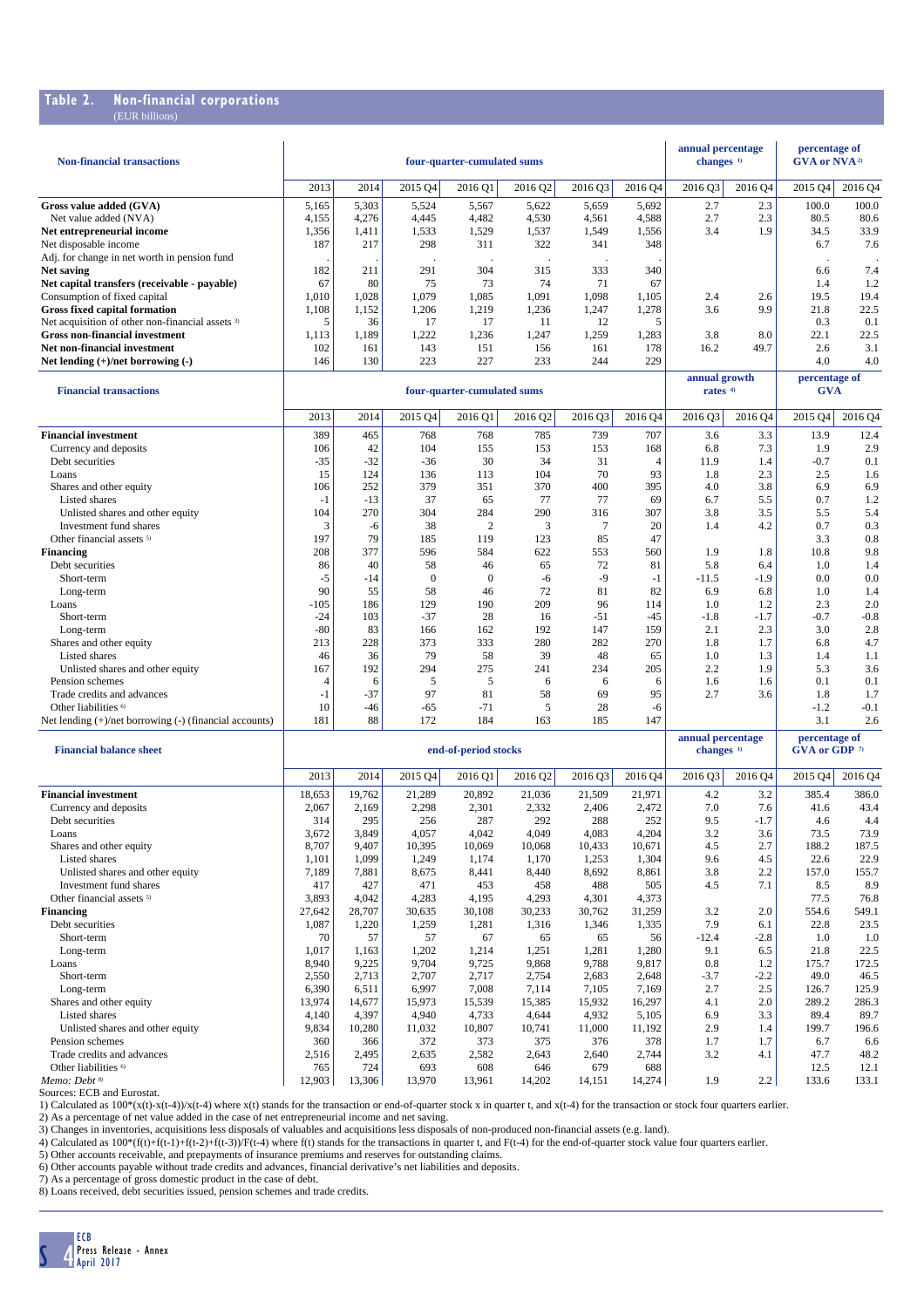### **Table 2. Non-financial corporations**

| <b>Non-financial transactions</b>                           |                 |            |               | four-quarter-cumulated sums |               |             |                | annual percentage<br>changes <sup>1)</sup> |               | percentage of<br><b>GVA or NVA</b> <sup>2)</sup> |               |
|-------------------------------------------------------------|-----------------|------------|---------------|-----------------------------|---------------|-------------|----------------|--------------------------------------------|---------------|--------------------------------------------------|---------------|
|                                                             | 2013            | 2014       | 2015 Q4       | 2016 Q1                     | 2016 Q2       | 2016 03     | 2016 Q4        | 2016 03                                    | 2016 Q4       | 2015 Q4                                          | 2016 04       |
| Gross value added (GVA)                                     | 5.165           | 5.303      | 5.524         | 5.567                       | 5,622         | 5.659       | 5,692          | 2.7                                        | 2.3           | 100.0                                            | 100.0         |
| Net value added (NVA)                                       | 4,155           | 4,276      | 4,445         | 4,482                       | 4,530         | 4,561       | 4,588          | 2.7                                        | 2.3           | 80.5                                             | 80.6          |
| Net entrepreneurial income                                  | 1,356           | 1,411      | 1,533         | 1,529                       | 1,537         | 1.549       | 1,556          | 3.4                                        | 1.9           | 34.5                                             | 33.9          |
| Net disposable income                                       | 187             | 217        | 298           | 311                         | 322           | 341         | 348            |                                            |               | 6.7                                              | 7.6           |
| Adj. for change in net worth in pension fund                |                 |            |               | $\ddot{\phantom{a}}$        | $\cdot$       |             |                |                                            |               |                                                  |               |
| <b>Net saving</b>                                           | 182             | 211        | 291           | 304                         | 315           | 333         | 340            |                                            |               | 6.6                                              | 7.4           |
| Net capital transfers (receivable - payable)                | 67              | 80         | 75            | 73                          | 74            | 71          | 67             |                                            |               | 1.4                                              | 1.2           |
| Consumption of fixed capital                                | 1,010           | 1,028      | 1,079         | 1,085                       | 1,091         | 1,098       | 1,105          | 2.4                                        | 2.6           | 19.5                                             | 19.4          |
| <b>Gross fixed capital formation</b>                        | 1,108           | 1,152      | 1,206         | 1,219                       | 1,236         | 1,247       | 1,278          | 3.6                                        | 9.9           | 21.8                                             | 22.5          |
| Net acquisition of other non-financial assets <sup>3)</sup> | 5               | 36         | 17            | 17                          | 11            | 12          | 5              |                                            |               | 0.3                                              | 0.1           |
| <b>Gross non-financial investment</b>                       | 1,113           | 1,189      | 1,222         | 1,236                       | 1,247         | 1,259       | 1,283          | 3.8                                        | 8.0           | 22.1                                             | 22.5          |
| Net non-financial investment                                | 102             | 161        | 143           | 151                         | 156           | 161         | 178            | 16.2                                       | 49.7          | 2.6                                              | 3.1           |
| Net lending (+)/net borrowing (-)                           | 146             | 130        | 223           | 227                         | 233           | 244         | 229            |                                            |               | 4.0                                              | 4.0           |
|                                                             |                 |            | annual growth |                             | percentage of |             |                |                                            |               |                                                  |               |
| <b>Financial transactions</b>                               |                 |            |               | four-quarter-cumulated sums |               |             |                | rates <sup>4)</sup>                        |               | <b>GVA</b>                                       |               |
|                                                             | 2013            | 2014       | 2015 Q4       | 2016 Q1                     | 2016 Q2       | 2016 O3     | 2016 Q4        | 2016 03                                    | 2016 Q4       | 2015 Q4                                          | 2016 Q4       |
| <b>Financial investment</b>                                 | 389             | 465        | 768           | 768                         | 785           | 739         | 707            | 3.6                                        | 3.3           | 13.9                                             | 12.4          |
| Currency and deposits                                       | 106             | 42         | 104           | 155                         | 153           | 153         | 168            | 6.8                                        | 7.3           | 1.9                                              | 2.9           |
| Debt securities                                             | $-35$           | $-32$      | $-36$         | 30                          | 34            | 31          | $\overline{4}$ | 11.9                                       | 1.4           | $-0.7$                                           | 0.1           |
| Loans                                                       | 15              | 124        | 136           | 113                         | 104           | 70          | 93             | 1.8                                        | 2.3           | 2.5                                              | 1.6           |
| Shares and other equity                                     | 106             | 252        | 379           | 351                         | 370           | 400         | 395            | 4.0                                        | 3.8           | 6.9                                              | 6.9           |
| Listed shares                                               | $-1$            | $-13$      | 37            | 65                          | 77            | 77          | 69             | 6.7                                        | 5.5           | 0.7                                              | 1.2           |
| Unlisted shares and other equity                            | 104             | 270        | 304           | 284                         | 290           | 316         | 307            | 3.8                                        | 3.5           | 5.5                                              | 5.4           |
| Investment fund shares                                      | 3               | $-6$       | 38            | $\overline{c}$              | 3             | $\tau$      | 20             | 1.4                                        | 4.2           | 0.7                                              | 0.3           |
| Other financial assets <sup>5)</sup>                        | 197             | 79         | 185           | 119                         | 123           | 85          | 47             |                                            |               | 3.3                                              | 0.8           |
| <b>Financing</b>                                            | 208             | 377        | 596           | 584                         | 622           | 553         | 560            | 1.9                                        | 1.8           | 10.8                                             | 9.8           |
| Debt securities                                             | 86              | 40         | 58            | 46                          | 65            | 72          | 81             | 5.8                                        | 6.4           | 1.0                                              | 1.4           |
| Short-term                                                  | $-5$<br>90      | -14        | $\Omega$      | $\mathbf{0}$                | $-6$<br>72    | $-9$<br>81  | $-1$           | $-11.5$                                    | $-1.9$        | 0.0                                              | 0.0           |
| Long-term                                                   |                 | 55         | 58            | 46                          |               |             | 82             | 6.9                                        | 6.8           | 1.0                                              | 1.4           |
| Loans<br>Short-term                                         | $-105$<br>$-24$ | 186<br>103 | 129<br>$-37$  | 190<br>28                   | 209<br>16     | 96<br>$-51$ | 114<br>$-45$   | 1.0<br>$-1.8$                              | 1.2<br>$-1.7$ | 2.3<br>$-0.7$                                    | 2.0<br>$-0.8$ |
|                                                             | $-80$           | 83         | 166           | 162                         | 192           | 147         | 159            | 2.1                                        | 2.3           | 3.0                                              | 2.8           |
| Long-term<br>Shares and other equity                        | 213             | 228        | 373           | 333                         | 280           | 282         | 270            | 1.8                                        | 1.7           | 6.8                                              | 4.7           |
| Listed shares                                               | 46              | 36         | 79            | 58                          | 39            | 48          | 65             | 1.0                                        | 1.3           | 1.4                                              | 1.1           |
| Unlisted shares and other equity                            | 167             | 192        | 294           | 275                         | 241           | 234         | 205            | 2.2                                        | 1.9           | 5.3                                              | 3.6           |
| Pension schemes                                             | $\overline{4}$  | 6          | 5             | 5                           | 6             | 6           | 6              | 1.6                                        | 1.6           | 0.1                                              | 0.1           |
| Trade credits and advances                                  | $-1$            | $-37$      | 97            | 81                          | 58            | 69          | 95             | 2.7                                        | 3.6           | 1.8                                              | 1.7           |
| Other liabilities <sup>6)</sup>                             | 10              | $-46$      | $-65$         | $-71$                       | 5             | 28          | $-6$           |                                            |               | $-1.2$                                           | $-0.1$        |
| Net lending $(+)/$ net borrowing $(-)$ (financial accounts) | 181             | 88         | 172           | 184                         | 163           | 185         | 147            |                                            |               | 3.1                                              | 2.6           |
|                                                             |                 |            |               |                             |               |             |                | annual percentage                          |               | percentage of                                    |               |

| <b>Financial balance sheet</b>       |        |        | end-of-period stocks |         | changes <sup>1)</sup> |         | GVA or GDP $\sqrt{n}$ |         |         |         |         |
|--------------------------------------|--------|--------|----------------------|---------|-----------------------|---------|-----------------------|---------|---------|---------|---------|
|                                      | 2013   | 2014   | 2015 Q4              | 2016 Q1 | 2016 Q2               | 2016 Q3 | 2016 Q4               | 2016 Q3 | 2016 Q4 | 2015 04 | 2016 Q4 |
| <b>Financial investment</b>          | 18,653 | 19,762 | 21,289               | 20,892  | 21,036                | 21,509  | 21,971                | 4.2     | 3.2     | 385.4   | 386.0   |
| Currency and deposits                | 2,067  | 2,169  | 2,298                | 2,301   | 2,332                 | 2,406   | 2,472                 | 7.0     | 7.6     | 41.6    | 43.4    |
| Debt securities                      | 314    | 295    | 256                  | 287     | 292                   | 288     | 252                   | 9.5     | $-1.7$  | 4.6     | 4.4     |
| Loans                                | 3,672  | 3,849  | 4.057                | 4,042   | 4,049                 | 4,083   | 4,204                 | 3.2     | 3.6     | 73.5    | 73.9    |
| Shares and other equity              | 8,707  | 9,407  | 10,395               | 10,069  | 10,068                | 10,433  | 10,671                | 4.5     | 2.7     | 188.2   | 187.5   |
| <b>Listed shares</b>                 | 1,101  | 1,099  | 1,249                | 1,174   | 1,170                 | 1,253   | 1,304                 | 9.6     | 4.5     | 22.6    | 22.9    |
| Unlisted shares and other equity     | 7,189  | 7,881  | 8,675                | 8,441   | 8,440                 | 8,692   | 8,861                 | 3.8     | 2.2     | 157.0   | 155.7   |
| Investment fund shares               | 417    | 427    | 471                  | 453     | 458                   | 488     | 505                   | 4.5     | 7.1     | 8.5     | 8.9     |
| Other financial assets <sup>5)</sup> | 3,893  | 4,042  | 4,283                | 4,195   | 4,293                 | 4,301   | 4,373                 |         |         | 77.5    | 76.8    |
| <b>Financing</b>                     | 27,642 | 28,707 | 30,635               | 30,108  | 30,233                | 30,762  | 31,259                | 3.2     | 2.0     | 554.6   | 549.1   |
| Debt securities                      | 1,087  | 1,220  | 1,259                | 1,281   | 1,316                 | 1,346   | 1,335                 | 7.9     | 6.1     | 22.8    | 23.5    |
| Short-term                           | 70     | 57     | 57                   | 67      | 65                    | 65      | 56                    | $-12.4$ | $-2.8$  | 1.0     | 1.0     |
| Long-term                            | 1,017  | 1,163  | 1,202                | 1,214   | 1,251                 | 1,281   | 1,280                 | 9.1     | 6.5     | 21.8    | 22.5    |
| Loans                                | 8,940  | 9,225  | 9,704                | 9,725   | 9,868                 | 9,788   | 9,817                 | 0.8     | 1.2     | 175.7   | 172.5   |
| Short-term                           | 2,550  | 2,713  | 2,707                | 2,717   | 2,754                 | 2,683   | 2,648                 | $-3.7$  | $-2.2$  | 49.0    | 46.5    |
| Long-term                            | 6,390  | 6,511  | 6,997                | 7,008   | 7,114                 | 7,105   | 7,169                 | 2.7     | 2.5     | 126.7   | 125.9   |
| Shares and other equity              | 13,974 | 14,677 | 15,973               | 15,539  | 15,385                | 15,932  | 16,297                | 4.1     | 2.0     | 289.2   | 286.3   |
| <b>Listed shares</b>                 | 4,140  | 4,397  | 4.940                | 4,733   | 4,644                 | 4,932   | 5,105                 | 6.9     | 3.3     | 89.4    | 89.7    |
| Unlisted shares and other equity     | 9,834  | 10,280 | 11,032               | 10,807  | 10,741                | 11,000  | 11,192                | 2.9     | 1.4     | 199.7   | 196.6   |
| Pension schemes                      | 360    | 366    | 372                  | 373     | 375                   | 376     | 378                   | 1.7     | 1.7     | 6.7     | 6.6     |
| Trade credits and advances           | 2,516  | 2,495  | 2,635                | 2,582   | 2,643                 | 2,640   | 2,744                 | 3.2     | 4.1     | 47.7    | 48.2    |
| Other liabilities <sup>6)</sup>      | 765    | 724    | 693                  | 608     | 646                   | 679     | 688                   |         |         | 12.5    | 12.1    |
| Memo: Debt <sup>8)</sup>             | 12,903 | 13,306 | 13,970               | 13,961  | 14,202                | 14,151  | 14,274                | 1.9     | 2.2     | 133.6   | 133.1   |

Sources: ECB and Eurostat.

1) Calculated as 100\*(x(t)-x(t-4))/x(t-4) where x(t) stands for the transaction or end-of-quarter stock x in quarter t, and x(t-4) for the transaction or stock four quarters earlier.<br>2) As a percentage of net value added i

4) Calculated as  $100*(f(t)+f(t-1)+f(t-2)+f(t-3))$ /F(t-4) where  $f(t)$  stands for the transactions in quarter t, and F(t-4) for the end-of-quarter stock value four quarters earlier.

5) Other accounts receivable, and prepayments of insurance premiums and reserves for outstanding claims.

6) Other accounts payable without trade credits and advances, financial derivative's net liabilities and deposits.<br>7) As a percentage of gross domestic product in the case of debt.<br>8) Loans received, debt securities issued

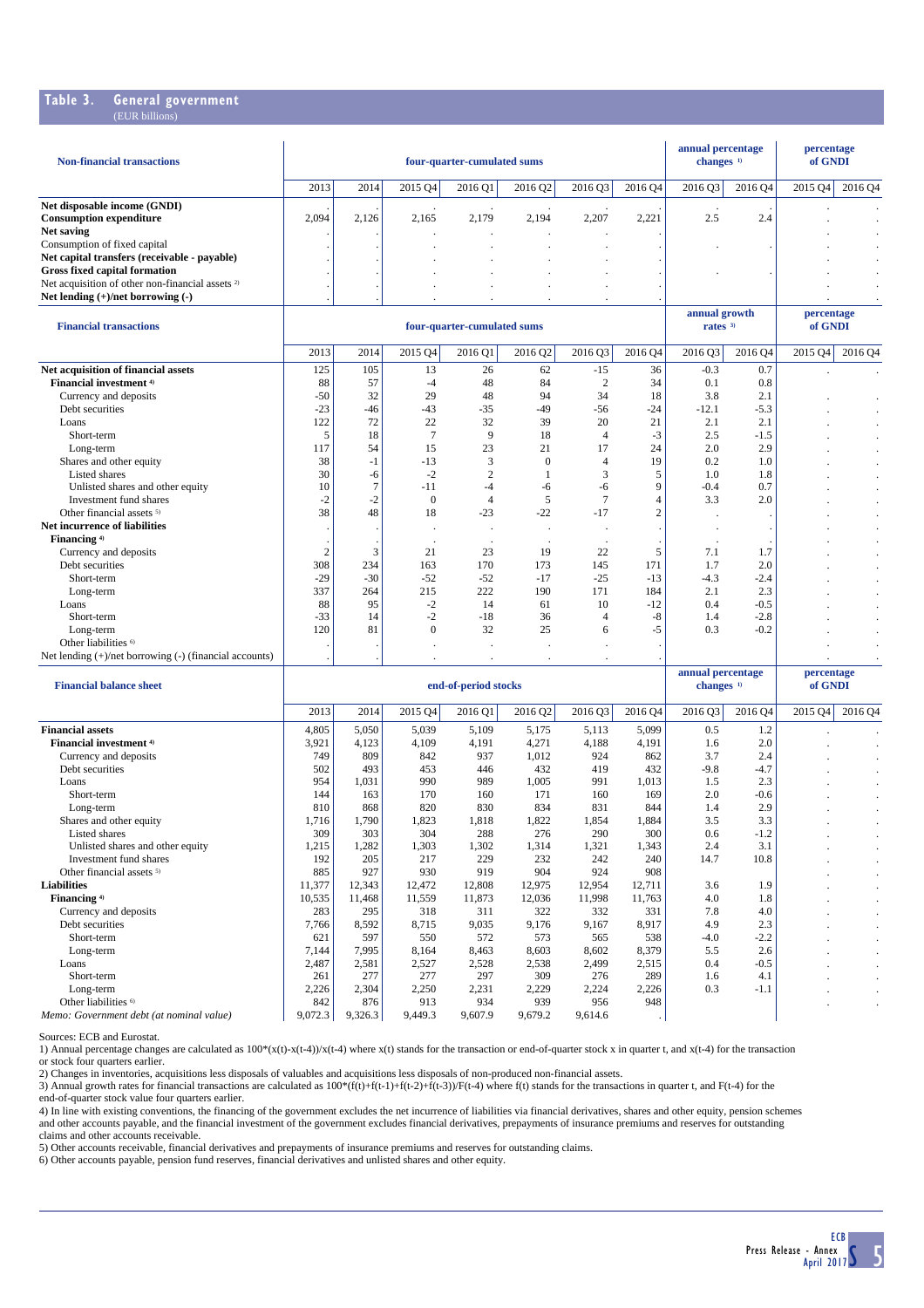#### **Table 3. General government** (EUR billions)

| <b>Non-financial transactions</b>                           |       |       | four-quarter-cumulated sums | annual percentage<br>changes $1$ |         | percentage<br>of GNDI |         |         |         |         |                |
|-------------------------------------------------------------|-------|-------|-----------------------------|----------------------------------|---------|-----------------------|---------|---------|---------|---------|----------------|
|                                                             | 2013  | 2014  | 2015 Q4                     | 201601                           | 2016 Q2 | 2016 Q3               | 2016 Q4 | 2016 03 | 2016 04 | 2015 04 | 2016 04        |
| Net disposable income (GNDI)                                |       |       |                             |                                  |         |                       |         |         |         |         |                |
| <b>Consumption expenditure</b>                              | 2,094 | 2.126 | 2,165                       | 2.179                            | 2,194   | 2,207                 | 2.221   | 2.5     | 2.4     |         |                |
| Net saving                                                  |       |       |                             |                                  |         |                       |         |         |         |         |                |
| Consumption of fixed capital                                |       |       |                             |                                  |         |                       |         |         |         |         | $\blacksquare$ |
| Net capital transfers (receivable - payable)                |       |       |                             |                                  |         |                       |         |         |         |         | $\blacksquare$ |
| Gross fixed capital formation                               |       |       |                             |                                  |         |                       |         |         |         |         | $\blacksquare$ |
| Net acquisition of other non-financial assets <sup>2)</sup> |       |       |                             |                                  |         |                       |         |         |         |         | . .            |
| Net lending $(+)/$ net borrowing $(-)$                      |       |       |                             |                                  |         |                       |         |         |         |         | . .            |

| <b>Financial transactions</b>                               |                |              | four-quarter-cumulated sums | annual growth<br>rates <sup>3</sup> |          | percentage<br>of GNDI |         |         |         |         |              |
|-------------------------------------------------------------|----------------|--------------|-----------------------------|-------------------------------------|----------|-----------------------|---------|---------|---------|---------|--------------|
|                                                             | 2013           | 2014         | 2015 Q4                     | 2016 Q1                             | 2016 Q2  | 2016 Q3               | 2016 Q4 | 2016 Q3 | 2016 Q4 | 2015 Q4 | 2016 Q4      |
| Net acquisition of financial assets                         | 125            | 105          | 13                          | 26                                  | 62       | $-15$                 | 36      | $-0.3$  | 0.7     |         |              |
| Financial investment <sup>4)</sup>                          | 88             | 57           | -4                          | 48                                  | 84       | $\overline{c}$        | 34      | 0.1     | 0.8     |         |              |
| Currency and deposits                                       | $-50$          | 32           | 29                          | 48                                  | 94       | 34                    | 18      | 3.8     | 2.1     |         |              |
| Debt securities                                             | $-23$          | $-46$        | $-43$                       | $-35$                               | $-49$    | $-56$                 | $-24$   | $-12.1$ | $-5.3$  |         | ٠            |
| Loans                                                       | 122            | 72           | 22                          | 32                                  | 39       | 20                    | 21      | 2.1     | 2.1     |         | ٠            |
| Short-term                                                  | 5              | 18           |                             | 9                                   | 18       | 4                     | $-3$    | 2.5     | $-1.5$  |         | ٠            |
| Long-term                                                   | 117            | 54           | 15                          | 23                                  | 21       | 17                    | 24      | 2.0     | 2.9     |         | ٠            |
| Shares and other equity                                     | 38             | $-1$         | $-13$                       | 3                                   | $\Omega$ |                       | 19      | 0.2     | 1.0     |         | ٠            |
| <b>Listed shares</b>                                        | 30             | -6           | $-2$                        | $\overline{2}$                      |          | 3                     |         | 1.0     | 1.8     |         | ٠            |
| Unlisted shares and other equity                            | 10             |              | $-11$                       | -4                                  | -6       | -6                    | q       | $-0.4$  | 0.7     |         | ٠            |
| Investment fund shares                                      | $-2$           | -2           | $\Omega$                    |                                     | 5        | $\overline{7}$        |         | 3.3     | 2.0     |         |              |
| Other financial assets <sup>5)</sup>                        | 38             | 48           | 18                          | $-23$                               | $-22$    | $-17$                 | $\sim$  |         |         |         | $\bullet$    |
| Net incurrence of liabilities                               |                |              |                             |                                     |          |                       |         |         |         |         | ٠            |
| Financing <sup>4)</sup>                                     |                |              |                             |                                     |          |                       |         |         |         |         | ٠            |
| Currency and deposits                                       | $\overline{2}$ | $\mathbf{3}$ | 21                          | 23                                  | 19       | 22                    |         | 7.1     | 1.7     |         | ٠            |
| Debt securities                                             | 308            | 234          | 163                         | 170                                 | 173      | 145                   | 171     | 1.7     | 2.0     |         | ٠            |
| Short-term                                                  | $-29$          | $-30$        | $-52$                       | $-52$                               | $-17$    | $-25$                 | $-13$   | $-4.3$  | $-2.4$  |         | $\mathbf{r}$ |
| Long-term                                                   | 337            | 264          | 215                         | 222                                 | 190      | 171                   | 184     | 2.1     | 2.3     |         | ٠            |
| Loans                                                       | 88             | 95           | $-2$                        | 14                                  | 61       | 10                    | $-12$   | 0.4     | $-0.5$  |         | ٠            |
| Short-term                                                  | $-33$          | 14           | $-2$                        | $-18$                               | 36       | $\overline{4}$        | -8      | 1.4     | $-2.8$  |         | ٠            |
| Long-term                                                   | 120            | 81           | $\mathbf{0}$                | 32                                  | 25       | 6                     | -5      | 0.3     | $-0.2$  |         | ٠            |
| Other liabilities <sup>6)</sup>                             |                |              |                             |                                     |          | $\cdot$               |         |         |         |         |              |
| Net lending $(+)/$ net borrowing $(-)$ (financial accounts) |                |              |                             |                                     |          |                       |         |         |         |         | ٠            |

| <b>Financial balance sheet</b>            |         |         |         | end-of-period stocks |         | changes <sup>1)</sup> |         | of GNDI |         |         |         |
|-------------------------------------------|---------|---------|---------|----------------------|---------|-----------------------|---------|---------|---------|---------|---------|
|                                           | 2013    | 2014    | 2015 Q4 | 2016 Q1              | 2016 Q2 | 2016 Q3               | 2016 Q4 | 2016 Q3 | 2016 Q4 | 2015 04 | 2016 Q4 |
| <b>Financial assets</b>                   | 4,805   | 5,050   | 5,039   | 5,109                | 5,175   | 5,113                 | 5,099   | 0.5     | 1.2     |         |         |
| <b>Financial investment</b> <sup>4)</sup> | 3,921   | 4,123   | 4,109   | 4,191                | 4,271   | 4,188                 | 4,191   | 1.6     | 2.0     |         | ٠       |
| Currency and deposits                     | 749     | 809     | 842     | 937                  | 1,012   | 924                   | 862     | 3.7     | 2.4     |         |         |
| Debt securities                           | 502     | 493     | 453     | 446                  | 432     | 419                   | 432     | $-9.8$  | $-4.7$  |         |         |
| Loans                                     | 954     | 1,031   | 990     | 989                  | 1,005   | 991                   | 1,013   | 1.5     | 2.3     |         | ٠       |
| Short-term                                | 144     | 163     | 170     | 160                  | 171     | 160                   | 169     | 2.0     | $-0.6$  |         |         |
| Long-term                                 | 810     | 868     | 820     | 830                  | 834     | 831                   | 844     | 1.4     | 2.9     |         |         |
| Shares and other equity                   | 1,716   | 1,790   | 1,823   | 1,818                | 1,822   | 1,854                 | 1,884   | 3.5     | 3.3     |         |         |
| Listed shares                             | 309     | 303     | 304     | 288                  | 276     | 290                   | 300     | 0.6     | $-1.2$  |         | ٠       |
| Unlisted shares and other equity          | 1,215   | 1,282   | 1,303   | 1,302                | 1,314   | 1,321                 | 1,343   | 2.4     | 3.1     |         |         |
| Investment fund shares                    | 192     | 205     | 217     | 229                  | 232     | 242                   | 240     | 14.7    | 10.8    |         |         |
| Other financial assets <sup>5)</sup>      | 885     | 927     | 930     | 919                  | 904     | 924                   | 908     |         |         |         |         |
| <b>Liabilities</b>                        | 11,377  | 12,343  | 12,472  | 12,808               | 12,975  | 12,954                | 12,711  | 3.6     | 1.9     |         | ٠       |
| Financing <sup>4)</sup>                   | 10,535  | 11,468  | 11,559  | 11,873               | 12,036  | 11,998                | 11,763  | 4.0     | 1.8     |         | ٠       |
| Currency and deposits                     | 283     | 295     | 318     | 311                  | 322     | 332                   | 331     | 7.8     | 4.0     |         |         |
| Debt securities                           | 7,766   | 8,592   | 8,715   | 9,035                | 9,176   | 9,167                 | 8,917   | 4.9     | 2.3     |         |         |
| Short-term                                | 621     | 597     | 550     | 572                  | 573     | 565                   | 538     | $-4.0$  | $-2.2$  |         |         |
| Long-term                                 | 7,144   | 7,995   | 8,164   | 8,463                | 8,603   | 8,602                 | 8,379   | 5.5     | 2.6     |         |         |
| Loans                                     | 2,487   | 2,581   | 2,527   | 2,528                | 2,538   | 2,499                 | 2,515   | 0.4     | $-0.5$  |         | ٠       |
| Short-term                                | 261     | 277     | 277     | 297                  | 309     | 276                   | 289     | 1.6     | 4.1     |         | ٠       |
| Long-term                                 | 2,226   | 2,304   | 2,250   | 2,231                | 2,229   | 2,224                 | 2,226   | 0.3     | $-1.1$  |         |         |
| Other liabilities <sup>6)</sup>           | 842     | 876     | 913     | 934                  | 939     | 956                   | 948     |         |         |         |         |
| Memo: Government debt (at nominal value)  | 9,072.3 | 9,326.3 | 9,449.3 | 9,607.9              | 9,679.2 | 9,614.6               |         |         |         |         |         |

Sources: ECB and Eurostat.

1) Annual percentage changes are calculated as 100\*(x(t)-x(t-4))/x(t-4) where x(t) stands for the transaction or end-of-quarter stock x in quarter t, and x(t-4) for the transaction or stock four quarters earlier.<br>2) Changes in inventories, acquisitions less disposals of valuables and acquisitions less disposals of non-produced non-financial assets.<br>3) Annual growth rates for financial transactions ar

end-of-quarter stock value four quarters earlier.

4) In line with existing conventions, the financing of the government excludes the net incurrence of liabilities via financial derivatives, shares and other equity, pension schemes and other accounts payable, and the financial investment of the government excludes financial derivatives, prepayments of insurance premiums and reserves for outstanding claims and other accounts receivable.

5) Other accounts receivable, financial derivatives and prepayments of insurance premiums and reserves for outstanding claims.<br>6) Other accounts payable, pension fund reserves, financial derivatives and unlisted shares and

**annual percentage percentage**